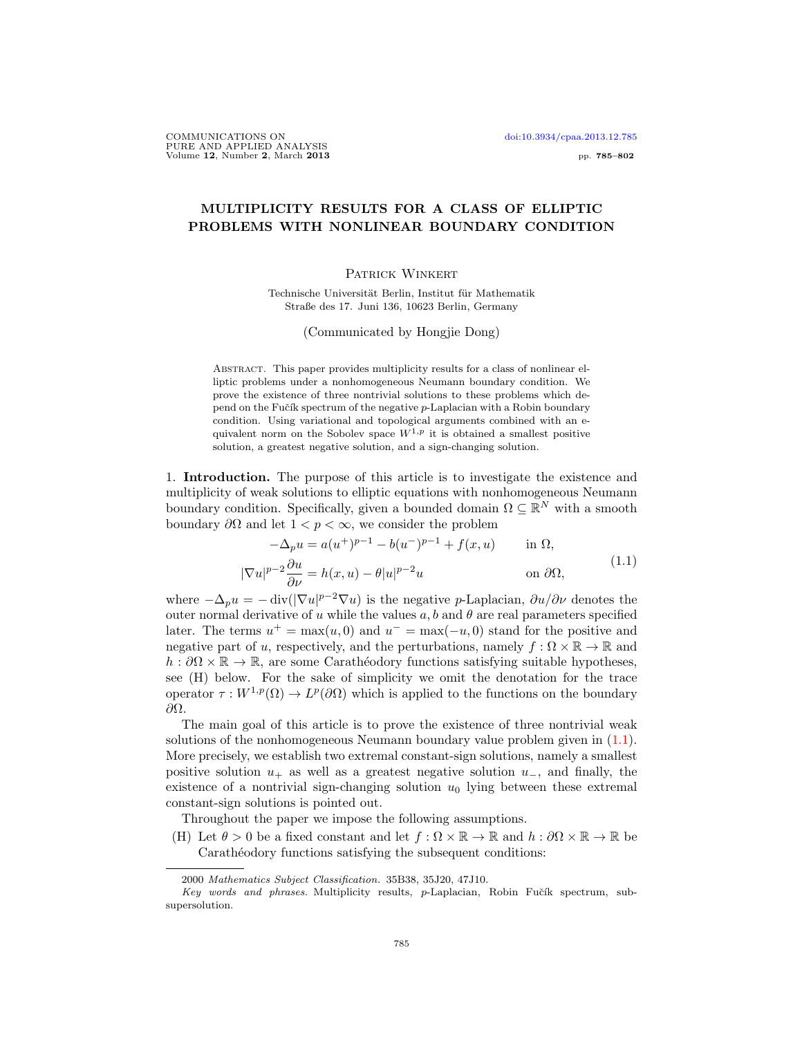## MULTIPLICITY RESULTS FOR A CLASS OF ELLIPTIC PROBLEMS WITH NONLINEAR BOUNDARY CONDITION

## Patrick Winkert

Technische Universität Berlin, Institut für Mathematik Straße des 17. Juni 136, 10623 Berlin, Germany

(Communicated by Hongjie Dong)

Abstract. This paper provides multiplicity results for a class of nonlinear elliptic problems under a nonhomogeneous Neumann boundary condition. We prove the existence of three nontrivial solutions to these problems which depend on the Fučík spectrum of the negative  $p$ -Laplacian with a Robin boundary condition. Using variational and topological arguments combined with an equivalent norm on the Sobolev space  $W^{1,p}$  it is obtained a smallest positive solution, a greatest negative solution, and a sign-changing solution.

1. Introduction. The purpose of this article is to investigate the existence and multiplicity of weak solutions to elliptic equations with nonhomogeneous Neumann boundary condition. Specifically, given a bounded domain  $\Omega \subseteq \mathbb{R}^N$  with a smooth boundary  $\partial\Omega$  and let  $1 < p < \infty$ , we consider the problem

<span id="page-0-0"></span>
$$
-\Delta_p u = a(u^+)^{p-1} - b(u^-)^{p-1} + f(x, u) \quad \text{in } \Omega,
$$
  

$$
|\nabla u|^{p-2} \frac{\partial u}{\partial \nu} = h(x, u) - \theta |u|^{p-2} u \quad \text{on } \partial \Omega,
$$
 (1.1)

where  $-\Delta_p u = -\text{div}(|\nabla u|^{p-2}\nabla u)$  is the negative p-Laplacian,  $\partial u/\partial \nu$  denotes the outer normal derivative of u while the values  $a, b$  and  $\theta$  are real parameters specified later. The terms  $u^+ = \max(u, 0)$  and  $u^- = \max(-u, 0)$  stand for the positive and negative part of u, respectively, and the perturbations, namely  $f : \Omega \times \mathbb{R} \to \mathbb{R}$  and  $h : \partial\Omega \times \mathbb{R} \to \mathbb{R}$ , are some Carathéodory functions satisfying suitable hypotheses, see (H) below. For the sake of simplicity we omit the denotation for the trace operator  $\tau: W^{1,p}(\Omega) \to L^p(\partial\Omega)$  which is applied to the functions on the boundary ∂Ω.

The main goal of this article is to prove the existence of three nontrivial weak solutions of the nonhomogeneous Neumann boundary value problem given in [\(1.1\)](#page-0-0). More precisely, we establish two extremal constant-sign solutions, namely a smallest positive solution  $u_+$  as well as a greatest negative solution  $u_-$ , and finally, the existence of a nontrivial sign-changing solution  $u_0$  lying between these extremal constant-sign solutions is pointed out.

Throughout the paper we impose the following assumptions.

(H) Let  $\theta > 0$  be a fixed constant and let  $f : \Omega \times \mathbb{R} \to \mathbb{R}$  and  $h : \partial \Omega \times \mathbb{R} \to \mathbb{R}$  be Carathéodory functions satisfying the subsequent conditions:

<sup>2000</sup> Mathematics Subject Classification. 35B38, 35J20, 47J10.

 $Key words and phrases. Multiplicity results, p-Laplacian, Robin Fučík spectrum, sub$ supersolution.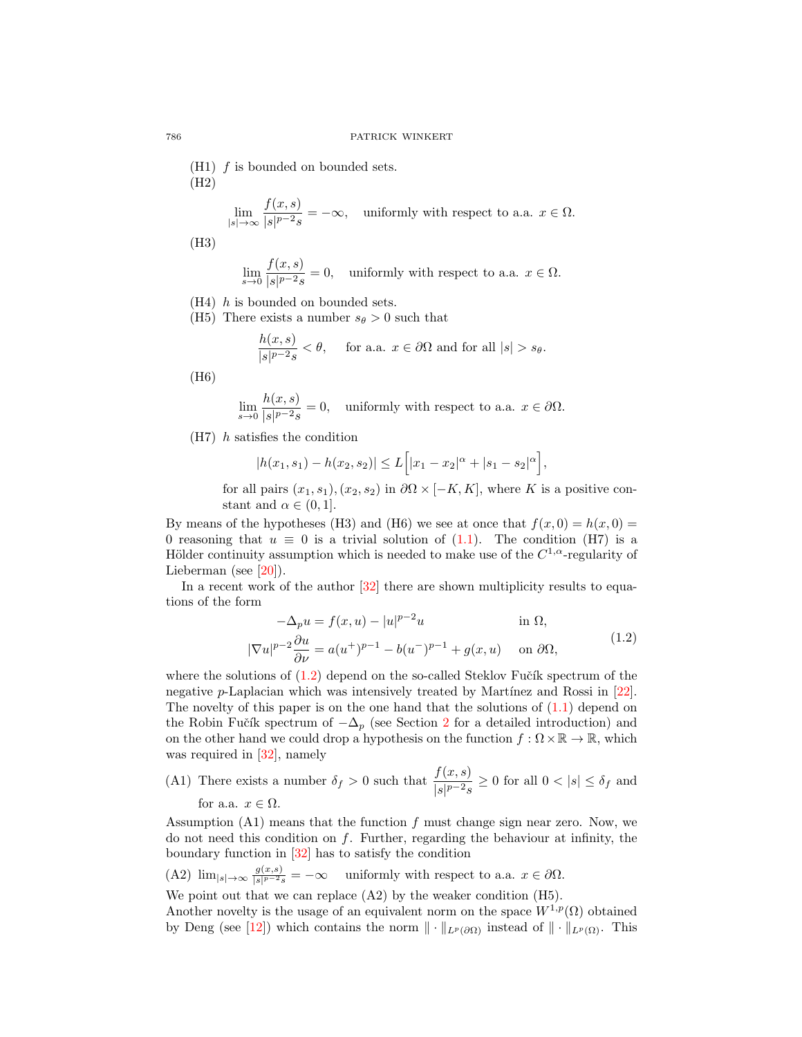$(H1)$  *f* is bounded on bounded sets. (H2)

$$
\lim_{|s| \to \infty} \frac{f(x, s)}{|s|^{p-2} s} = -\infty, \quad \text{uniformly with respect to a.a. } x \in \Omega.
$$

(H3)

$$
\lim_{s \to 0} \frac{f(x, s)}{|s|^{p-2}s} = 0, \quad \text{uniformly with respect to a.a. } x \in \Omega.
$$

- $(H4)$  *h* is bounded on bounded sets.
- (H5) There exists a number  $s_{\theta} > 0$  such that

$$
\frac{h(x,s)}{|s|^{p-2}s} < \theta, \quad \text{ for a.a. } x \in \partial\Omega \text{ and for all } |s| > s_{\theta}.
$$

(H6)

$$
\lim_{s \to 0} \frac{h(x, s)}{|s|^{p-2}s} = 0, \quad \text{uniformly with respect to a.a. } x \in \partial \Omega.
$$

(H7) h satisfies the condition

$$
|h(x_1, s_1) - h(x_2, s_2)| \le L\Big[|x_1 - x_2|^{\alpha} + |s_1 - s_2|^{\alpha}\Big],
$$

for all pairs  $(x_1, s_1), (x_2, s_2)$  in  $\partial\Omega \times [-K, K]$ , where K is a positive constant and  $\alpha \in (0, 1]$ .

By means of the hypotheses (H3) and (H6) we see at once that  $f(x, 0) = h(x, 0)$ 0 reasoning that  $u \equiv 0$  is a trivial solution of  $(1.1)$ . The condition  $(H7)$  is a Hölder continuity assumption which is needed to make use of the  $C^{1,\alpha}$ -regularity of Lieberman (see [\[20\]](#page-17-0)).

In a recent work of the author  $[32]$  there are shown multiplicity results to equations of the form

<span id="page-1-0"></span>
$$
-\Delta_p u = f(x, u) - |u|^{p-2}u \qquad \text{in } \Omega,
$$
  

$$
|\nabla u|^{p-2} \frac{\partial u}{\partial \nu} = a(u^+)^{p-1} - b(u^-)^{p-1} + g(x, u) \qquad \text{on } \partial\Omega,
$$
 (1.2)

where the solutions of  $(1.2)$  depend on the so-called Steklov Fučík spectrum of the negative  $p$ -Laplacian which was intensively treated by Martínez and Rossi in  $[22]$ . The novelty of this paper is on the one hand that the solutions of  $(1.1)$  depend on the Robin Fučík spectrum of  $-\Delta_p$  (see Section [2](#page-2-0) for a detailed introduction) and on the other hand we could drop a hypothesis on the function  $f : \Omega \times \mathbb{R} \to \mathbb{R}$ , which was required in [\[32\]](#page-17-1), namely

(A1) There exists a number  $\delta_f > 0$  such that  $\frac{f(x, s)}{|s|^{p-2} s} \ge 0$  for all  $0 < |s| \le \delta_f$  and for a.a.  $x \in \Omega$ .

Assumption  $(A1)$  means that the function f must change sign near zero. Now, we do not need this condition on  $f$ . Further, regarding the behaviour at infinity, the boundary function in [\[32\]](#page-17-1) has to satisfy the condition

(A2) 
$$
\lim_{|s| \to \infty} \frac{g(x,s)}{|s|^{p-2}s} = -\infty
$$
 uniformly with respect to a.a.  $x \in \partial\Omega$ .

We point out that we can replace  $(A2)$  by the weaker condition  $(H5)$ .

Another novelty is the usage of an equivalent norm on the space  $W^{1,p}(\Omega)$  obtained by Deng (see [\[12\]](#page-17-3)) which contains the norm  $\|\cdot\|_{L^p(\partial\Omega)}$  instead of  $\|\cdot\|_{L^p(\Omega)}$ . This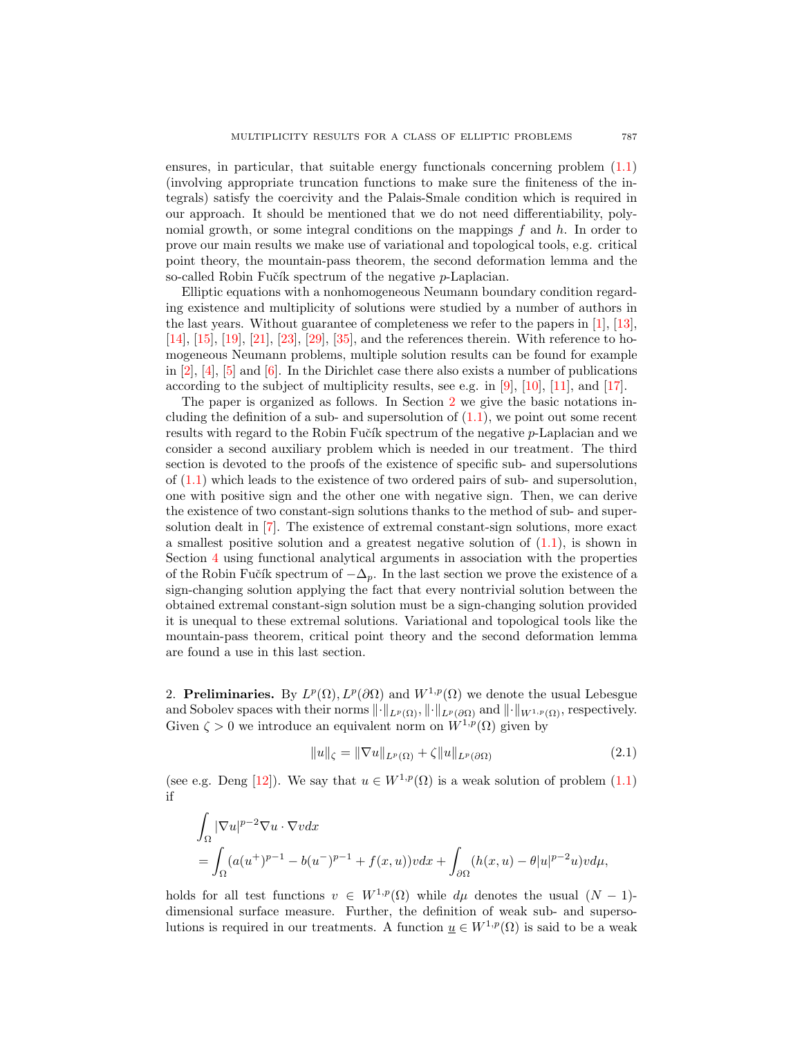ensures, in particular, that suitable energy functionals concerning problem [\(1.1\)](#page-0-0) (involving appropriate truncation functions to make sure the finiteness of the integrals) satisfy the coercivity and the Palais-Smale condition which is required in our approach. It should be mentioned that we do not need differentiability, polynomial growth, or some integral conditions on the mappings  $f$  and  $h$ . In order to prove our main results we make use of variational and topological tools, e.g. critical point theory, the mountain-pass theorem, the second deformation lemma and the so-called Robin Fučík spectrum of the negative  $p$ -Laplacian.

Elliptic equations with a nonhomogeneous Neumann boundary condition regarding existence and multiplicity of solutions were studied by a number of authors in the last years. Without guarantee of completeness we refer to the papers in [\[1\]](#page-16-0), [\[13\]](#page-17-4), [\[14\]](#page-17-5), [\[15\]](#page-17-6), [\[19\]](#page-17-7), [\[21\]](#page-17-8), [\[23\]](#page-17-9), [\[29\]](#page-17-10), [\[35\]](#page-17-11), and the references therein. With reference to homogeneous Neumann problems, multiple solution results can be found for example in  $[2]$ ,  $[4]$ ,  $[5]$  and  $[6]$ . In the Dirichlet case there also exists a number of publications according to the subject of multiplicity results, see e.g. in [\[9\]](#page-16-5), [\[10\]](#page-16-6), [\[11\]](#page-17-12), and [\[17\]](#page-17-13).

The paper is organized as follows. In Section [2](#page-2-0) we give the basic notations including the definition of a sub- and supersolution of  $(1.1)$ , we point out some recent results with regard to the Robin Fučík spectrum of the negative  $p$ -Laplacian and we consider a second auxiliary problem which is needed in our treatment. The third section is devoted to the proofs of the existence of specific sub- and supersolutions of  $(1.1)$  which leads to the existence of two ordered pairs of sub- and supersolution, one with positive sign and the other one with negative sign. Then, we can derive the existence of two constant-sign solutions thanks to the method of sub- and supersolution dealt in [\[7\]](#page-16-7). The existence of extremal constant-sign solutions, more exact a smallest positive solution and a greatest negative solution of  $(1.1)$ , is shown in Section [4](#page-7-0) using functional analytical arguments in association with the properties of the Robin Fučík spectrum of  $-\Delta_p$ . In the last section we prove the existence of a sign-changing solution applying the fact that every nontrivial solution between the obtained extremal constant-sign solution must be a sign-changing solution provided it is unequal to these extremal solutions. Variational and topological tools like the mountain-pass theorem, critical point theory and the second deformation lemma are found a use in this last section.

<span id="page-2-0"></span>2. Preliminaries. By  $L^p(\Omega)$ ,  $L^p(\partial\Omega)$  and  $W^{1,p}(\Omega)$  we denote the usual Lebesgue and Sobolev spaces with their norms  $\|\cdot\|_{L^p(\Omega)}, \|\cdot\|_{L^p(\partial\Omega)}$  and  $\|\cdot\|_{W^{1,p}(\Omega)}$ , respectively. Given  $\zeta > 0$  we introduce an equivalent norm on  $W^{1,p}(\Omega)$  given by

<span id="page-2-1"></span>
$$
||u||_{\zeta} = ||\nabla u||_{L^{p}(\Omega)} + \zeta ||u||_{L^{p}(\partial\Omega)}
$$
\n(2.1)

(see e.g. Deng [\[12\]](#page-17-3)). We say that  $u \in W^{1,p}(\Omega)$  is a weak solution of problem [\(1.1\)](#page-0-0) if

$$
\begin{aligned} &\int_{\Omega}|\nabla u|^{p-2}\nabla u\cdot\nabla vdx\\ &=\int_{\Omega}(a(u^+)^{p-1}-b(u^-)^{p-1}+f(x,u))vdx+\int_{\partial\Omega}(h(x,u)-\theta|u|^{p-2}u)v d\mu,\end{aligned}
$$

holds for all test functions  $v \in W^{1,p}(\Omega)$  while  $d\mu$  denotes the usual  $(N-1)$ dimensional surface measure. Further, the definition of weak sub- and supersolutions is required in our treatments. A function  $\underline{u} \in W^{1,p}(\Omega)$  is said to be a weak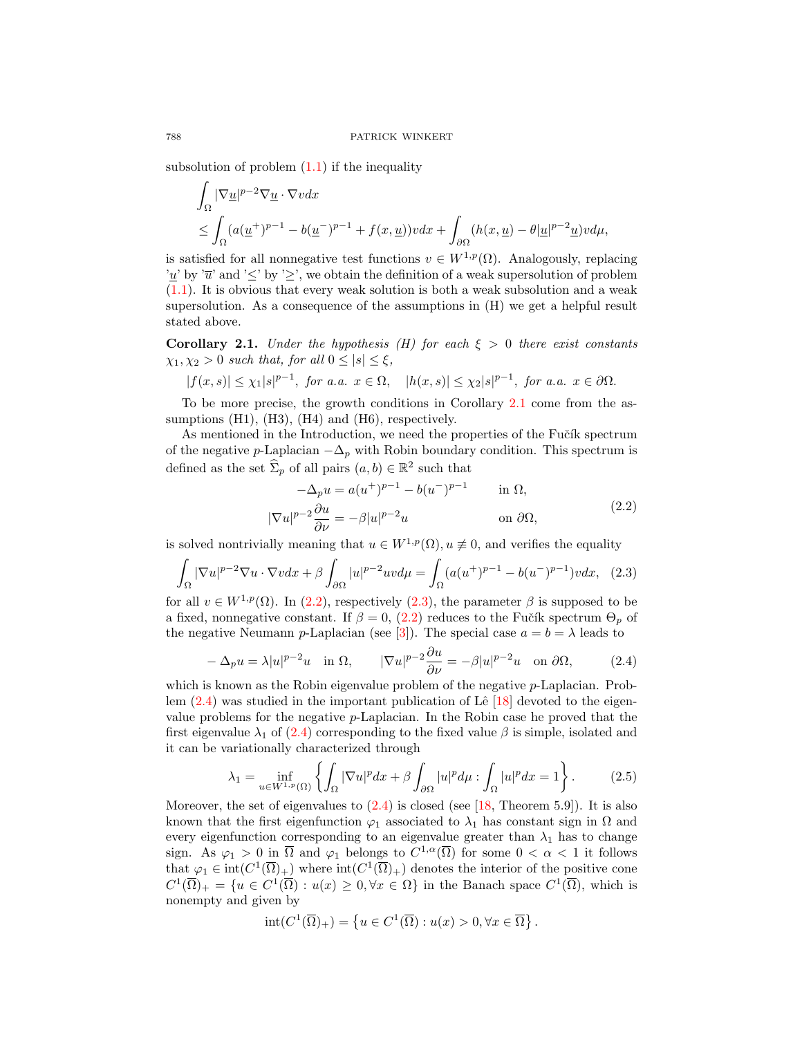subsolution of problem  $(1.1)$  if the inequality

$$
\int_{\Omega} |\nabla \underline{u}|^{p-2} \nabla \underline{u} \cdot \nabla v dx
$$
\n
$$
\leq \int_{\Omega} (a(\underline{u}^+)^{p-1} - b(\underline{u}^-)^{p-1} + f(x, \underline{u})) v dx + \int_{\partial \Omega} (h(x, \underline{u}) - \theta |\underline{u}|^{p-2} \underline{u}) v d\mu,
$$

is satisfied for all nonnegative test functions  $v \in W^{1,p}(\Omega)$ . Analogously, replacing '<u>u</u>' by ' $\overline{u}$ ' and ' $\leq$ ' by ' $\geq$ ', we obtain the definition of a weak supersolution of problem [\(1.1\)](#page-0-0). It is obvious that every weak solution is both a weak subsolution and a weak supersolution. As a consequence of the assumptions in (H) we get a helpful result stated above.

<span id="page-3-0"></span>**Corollary 2.1.** Under the hypothesis (H) for each  $\xi > 0$  there exist constants  $\chi_1, \chi_2 > 0$  such that, for all  $0 \leq |s| \leq \xi$ ,

$$
|f(x,s)| \leq \chi_1|s|^{p-1}, \text{ for a.a. } x \in \Omega, \quad |h(x,s)| \leq \chi_2|s|^{p-1}, \text{ for a.a. } x \in \partial\Omega.
$$

To be more precise, the growth conditions in Corollary [2.1](#page-3-0) come from the assumptions (H1), (H3), (H4) and (H6), respectively.

As mentioned in the Introduction, we need the properties of the Fučík spectrum of the negative p-Laplacian  $-\Delta_p$  with Robin boundary condition. This spectrum is defined as the set  $\widehat{\Sigma}_p$  of all pairs  $(a, b) \in \mathbb{R}^2$  such that

<span id="page-3-2"></span><span id="page-3-1"></span>
$$
-\Delta_p u = a(u^+)^{p-1} - b(u^-)^{p-1} \quad \text{in } \Omega,
$$
  

$$
|\nabla u|^{p-2} \frac{\partial u}{\partial \nu} = -\beta |u|^{p-2} u \quad \text{on } \partial \Omega,
$$
 (2.2)

is solved nontrivially meaning that  $u \in W^{1,p}(\Omega)$ ,  $u \not\equiv 0$ , and verifies the equality

$$
\int_{\Omega} |\nabla u|^{p-2} \nabla u \cdot \nabla v dx + \beta \int_{\partial \Omega} |u|^{p-2} uv d\mu = \int_{\Omega} (a(u^+)^{p-1} - b(u^-)^{p-1}) v dx, \tag{2.3}
$$

for all  $v \in W^{1,p}(\Omega)$ . In  $(2.2)$ , respectively  $(2.3)$ , the parameter  $\beta$  is supposed to be a fixed, nonnegative constant. If  $\beta = 0$ , [\(2.2\)](#page-3-1) reduces to the Fučík spectrum  $\Theta_p$  of the negative Neumann p-Laplacian (see [\[3\]](#page-16-8)). The special case  $a = b = \lambda$  leads to

<span id="page-3-3"></span>
$$
-\Delta_p u = \lambda |u|^{p-2}u \quad \text{in } \Omega, \qquad |\nabla u|^{p-2} \frac{\partial u}{\partial \nu} = -\beta |u|^{p-2}u \quad \text{on } \partial \Omega,
$$
 (2.4)

which is known as the Robin eigenvalue problem of the negative  $p$ -Laplacian. Problem  $(2.4)$  was studied in the important publication of Lê [\[18\]](#page-17-14) devoted to the eigenvalue problems for the negative  $p$ -Laplacian. In the Robin case he proved that the first eigenvalue  $\lambda_1$  of [\(2.4\)](#page-3-3) corresponding to the fixed value  $\beta$  is simple, isolated and it can be variationally characterized through

$$
\lambda_1 = \inf_{u \in W^{1,p}(\Omega)} \left\{ \int_{\Omega} |\nabla u|^p dx + \beta \int_{\partial \Omega} |u|^p d\mu : \int_{\Omega} |u|^p dx = 1 \right\}.
$$
 (2.5)

Moreover, the set of eigenvalues to  $(2.4)$  is closed (see [\[18,](#page-17-14) Theorem 5.9]). It is also known that the first eigenfunction  $\varphi_1$  associated to  $\lambda_1$  has constant sign in  $\Omega$  and every eigenfunction corresponding to an eigenvalue greater than  $\lambda_1$  has to change sign. As  $\varphi_1 > 0$  in  $\overline{\Omega}$  and  $\varphi_1$  belongs to  $C^{1,\alpha}(\overline{\Omega})$  for some  $0 < \alpha < 1$  it follows that  $\varphi_1 \in \text{int}(C^1(\overline{\Omega})_+)$  where  $\text{int}(C^1(\overline{\Omega})_+)$  denotes the interior of the positive cone  $C^1(\overline{\Omega})_+ = \{u \in C^1(\overline{\Omega}) : u(x) \geq 0, \forall x \in \Omega\}$  in the Banach space  $C^1(\overline{\Omega})$ , which is nonempty and given by

<span id="page-3-4"></span>
$$
int(C^1(\overline{\Omega})_+) = \left\{ u \in C^1(\overline{\Omega}) : u(x) > 0, \forall x \in \overline{\Omega} \right\}.
$$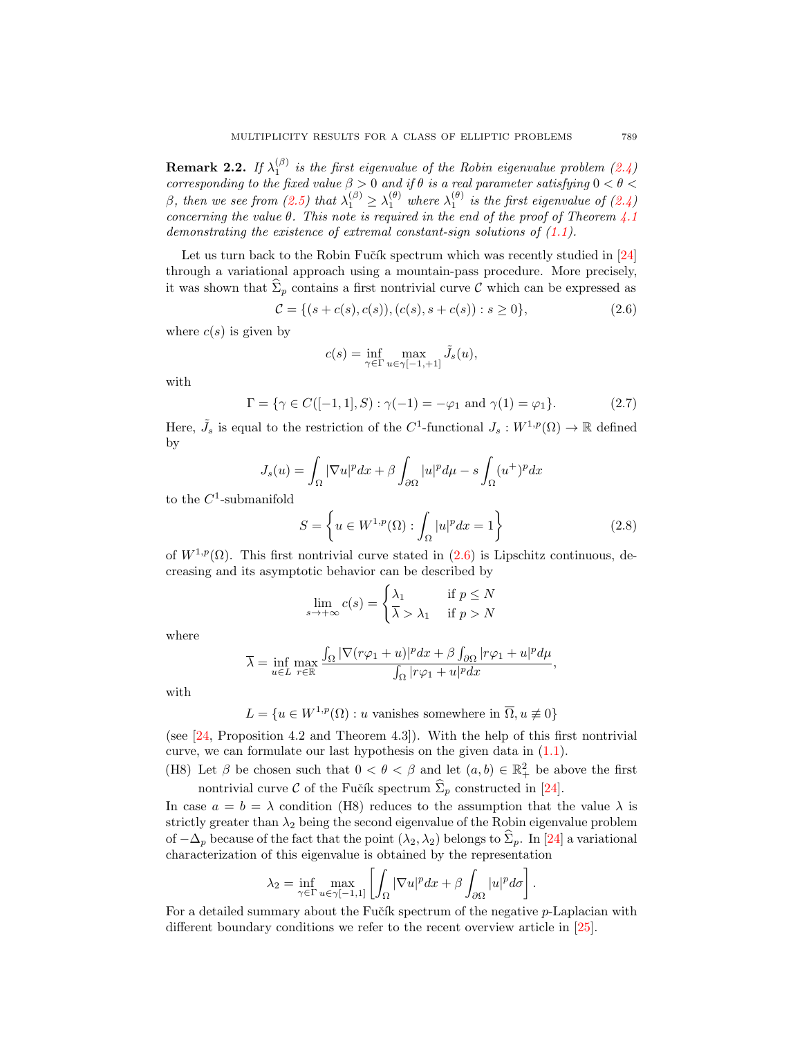<span id="page-4-1"></span>**Remark 2.2.** If  $\lambda_1^{(\beta)}$  is the first eigenvalue of the Robin eigenvalue problem [\(2.4\)](#page-3-3) corresponding to the fixed value  $\beta > 0$  and if  $\theta$  is a real parameter satisfying  $0 < \theta <$ β, then we see from [\(2.5\)](#page-3-4) that  $\lambda_1^{(\beta)} \geq \lambda_1^{(\theta)}$  where  $\lambda_1^{(\theta)}$  is the first eigenvalue of [\(2.4\)](#page-3-3) concerning the value  $\theta$ . This note is required in the end of the proof of Theorem [4.1](#page-8-0) demonstrating the existence of extremal constant-sign solutions of  $(1.1)$ .

Let us turn back to the Robin Fučík spectrum which was recently studied in [\[24\]](#page-17-15) through a variational approach using a mountain-pass procedure. More precisely, it was shown that  $\hat{\Sigma}_p$  contains a first nontrivial curve C which can be expressed as

$$
\mathcal{C} = \{ (s + c(s), c(s)), (c(s), s + c(s)) : s \ge 0 \},\tag{2.6}
$$

where  $c(s)$  is given by

<span id="page-4-3"></span><span id="page-4-0"></span>
$$
c(s) = \inf_{\gamma \in \Gamma} \max_{u \in \gamma[-1, +1]} \tilde{J}_s(u),
$$

with

$$
\Gamma = \{ \gamma \in C([-1, 1], S) : \gamma(-1) = -\varphi_1 \text{ and } \gamma(1) = \varphi_1 \}. \tag{2.7}
$$

Here,  $\tilde{J}_s$  is equal to the restriction of the C<sup>1</sup>-functional  $J_s: W^{1,p}(\Omega) \to \mathbb{R}$  defined by

$$
J_s(u) = \int_{\Omega} |\nabla u|^p dx + \beta \int_{\partial \Omega} |u|^p d\mu - s \int_{\Omega} (u^+)^p dx
$$

to the  $C^1$ -submanifold

$$
S = \left\{ u \in W^{1,p}(\Omega) : \int_{\Omega} |u|^p dx = 1 \right\}
$$
 (2.8)

of  $W^{1,p}(\Omega)$ . This first nontrivial curve stated in  $(2.6)$  is Lipschitz continuous, decreasing and its asymptotic behavior can be described by

<span id="page-4-2"></span>
$$
\lim_{s \to +\infty} c(s) = \begin{cases} \lambda_1 & \text{if } p \le N \\ \overline{\lambda} & \text{if } p > N \end{cases}
$$

where

$$
\overline{\lambda} = \inf_{u \in L} \max_{r \in \mathbb{R}} \frac{\int_{\Omega} |\nabla(r\varphi_1 + u)|^p dx + \beta \int_{\partial \Omega} |r\varphi_1 + u|^p d\mu}{\int_{\Omega} |r\varphi_1 + u|^p dx},
$$

with

 $L = \{u \in W^{1,p}(\Omega) : u \text{ vanishes somewhere in } \overline{\Omega}, u \neq 0\}$ 

(see [\[24,](#page-17-15) Proposition 4.2 and Theorem 4.3]). With the help of this first nontrivial curve, we can formulate our last hypothesis on the given data in [\(1.1\)](#page-0-0).

(H8) Let  $\beta$  be chosen such that  $0 < \theta < \beta$  and let  $(a, b) \in \mathbb{R}^2_+$  be above the first nontrivial curve C of the Fučík spectrum  $\widehat{\Sigma}_p$  constructed in [\[24\]](#page-17-15).

In case  $a = b = \lambda$  condition (H8) reduces to the assumption that the value  $\lambda$  is strictly greater than  $\lambda_2$  being the second eigenvalue of the Robin eigenvalue problem of  $-\Delta_p$  because of the fact that the point  $(\lambda_2, \lambda_2)$  belongs to  $\widehat{\Sigma}_p$ . In [\[24\]](#page-17-15) a variational characterization of this eigenvalue is obtained by the representation

$$
\lambda_2 = \inf_{\gamma \in \Gamma} \max_{u \in \gamma[-1,1]} \left[ \int_{\Omega} |\nabla u|^p dx + \beta \int_{\partial \Omega} |u|^p d\sigma \right].
$$

For a detailed summary about the Fučík spectrum of the negative p-Laplacian with different boundary conditions we refer to the recent overview article in [\[25\]](#page-17-16).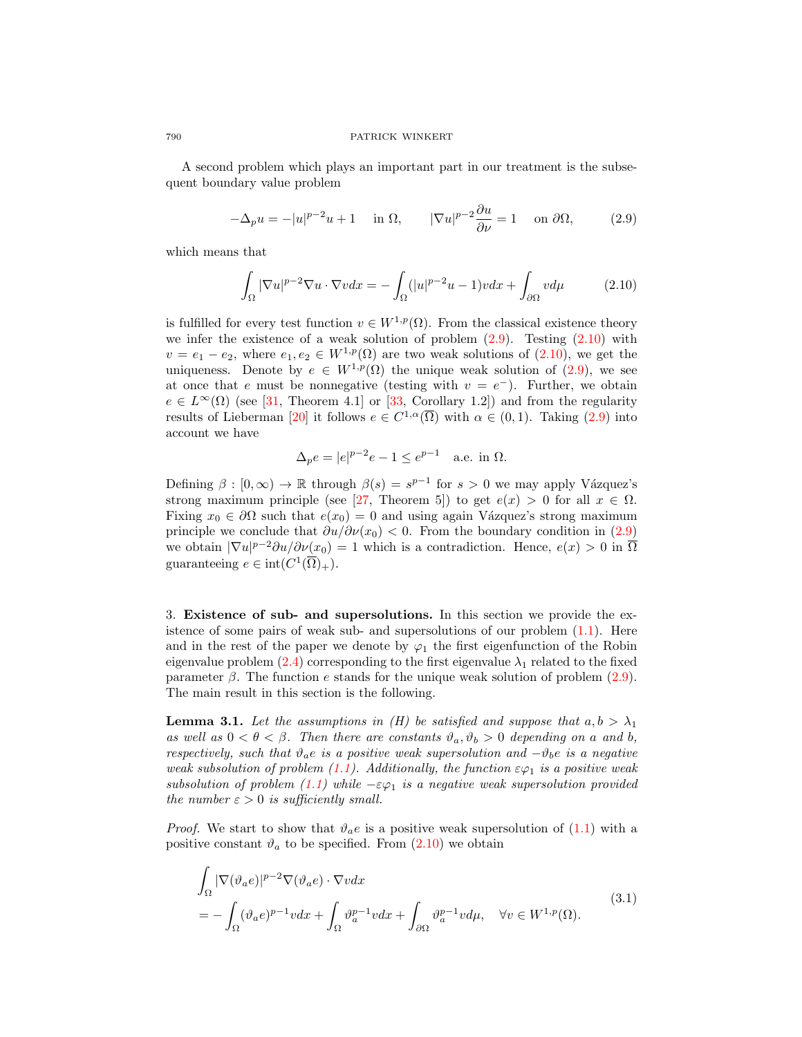A second problem which plays an important part in our treatment is the subsequent boundary value problem

$$
-\Delta_p u = -|u|^{p-2}u + 1 \quad \text{in } \Omega, \qquad |\nabla u|^{p-2} \frac{\partial u}{\partial \nu} = 1 \quad \text{on } \partial \Omega, \tag{2.9}
$$

which means that

<span id="page-5-1"></span><span id="page-5-0"></span>
$$
\int_{\Omega} |\nabla u|^{p-2} \nabla u \cdot \nabla v dx = -\int_{\Omega} (|u|^{p-2}u - 1)v dx + \int_{\partial \Omega} v d\mu \tag{2.10}
$$

is fulfilled for every test function  $v \in W^{1,p}(\Omega)$ . From the classical existence theory we infer the existence of a weak solution of problem  $(2.9)$ . Testing  $(2.10)$  with  $v = e_1 - e_2$ , where  $e_1, e_2 \in W^{1,p}(\Omega)$  are two weak solutions of  $(2.10)$ , we get the uniqueness. Denote by  $e \in W^{1,p}(\Omega)$  the unique weak solution of [\(2.9\)](#page-5-0), we see at once that e must be nonnegative (testing with  $v = e^-$ ). Further, we obtain  $e \in L^{\infty}(\Omega)$  (see [\[31,](#page-17-17) Theorem 4.1] or [\[33,](#page-17-18) Corollary 1.2]) and from the regularity results of Lieberman [\[20\]](#page-17-0) it follows  $e \in C^{1,\alpha}(\overline{\Omega})$  with  $\alpha \in (0,1)$ . Taking [\(2.9\)](#page-5-0) into account we have

$$
\Delta_p e = |e|^{p-2}e - 1 \le e^{p-1} \quad \text{a.e. in } \Omega.
$$

Defining  $\beta : [0, \infty) \to \mathbb{R}$  through  $\beta(s) = s^{p-1}$  for  $s > 0$  we may apply Vázquez's strong maximum principle (see [\[27,](#page-17-19) Theorem 5]) to get  $e(x) > 0$  for all  $x \in \Omega$ . Fixing  $x_0 \in \partial\Omega$  such that  $e(x_0) = 0$  and using again Vázquez's strong maximum principle we conclude that  $\partial u/\partial v(x_0) < 0$ . From the boundary condition in [\(2.9\)](#page-5-0) we obtain  $|\nabla u|^{p-2}\partial u/\partial \nu(x_0) = 1$  which is a contradiction. Hence,  $e(x) > 0$  in  $\overline{\Omega}$ guaranteeing  $e \in \text{int}(C^1(\overline{\Omega})_+).$ 

3. Existence of sub- and supersolutions. In this section we provide the existence of some pairs of weak sub- and supersolutions of our problem  $(1.1)$ . Here and in the rest of the paper we denote by  $\varphi_1$  the first eigenfunction of the Robin eigenvalue problem [\(2.4\)](#page-3-3) corresponding to the first eigenvalue  $\lambda_1$  related to the fixed parameter  $\beta$ . The function e stands for the unique weak solution of problem [\(2.9\)](#page-5-0). The main result in this section is the following.

<span id="page-5-3"></span>**Lemma 3.1.** Let the assumptions in (H) be satisfied and suppose that  $a, b > \lambda_1$ as well as  $0 < \theta < \beta$ . Then there are constants  $\vartheta_a, \vartheta_b > 0$  depending on a and b, respectively, such that  $\vartheta_a e$  is a positive weak supersolution and  $-\vartheta_b e$  is a negative weak subsolution of problem [\(1.1\)](#page-0-0). Additionally, the function  $\epsilon\varphi_1$  is a positive weak subsolution of problem [\(1.1\)](#page-0-0) while  $-\varepsilon\varphi_1$  is a negative weak supersolution provided the number  $\varepsilon > 0$  is sufficiently small.

*Proof.* We start to show that  $\vartheta_a e$  is a positive weak supersolution of [\(1.1\)](#page-0-0) with a positive constant  $\vartheta_a$  to be specified. From  $(2.10)$  we obtain

<span id="page-5-2"></span>
$$
\int_{\Omega} |\nabla(\vartheta_a e)|^{p-2} \nabla(\vartheta_a e) \cdot \nabla v dx
$$
\n
$$
= -\int_{\Omega} (\vartheta_a e)^{p-1} v dx + \int_{\Omega} \vartheta_a^{p-1} v dx + \int_{\partial \Omega} \vartheta_a^{p-1} v d\mu, \quad \forall v \in W^{1,p}(\Omega).
$$
\n(3.1)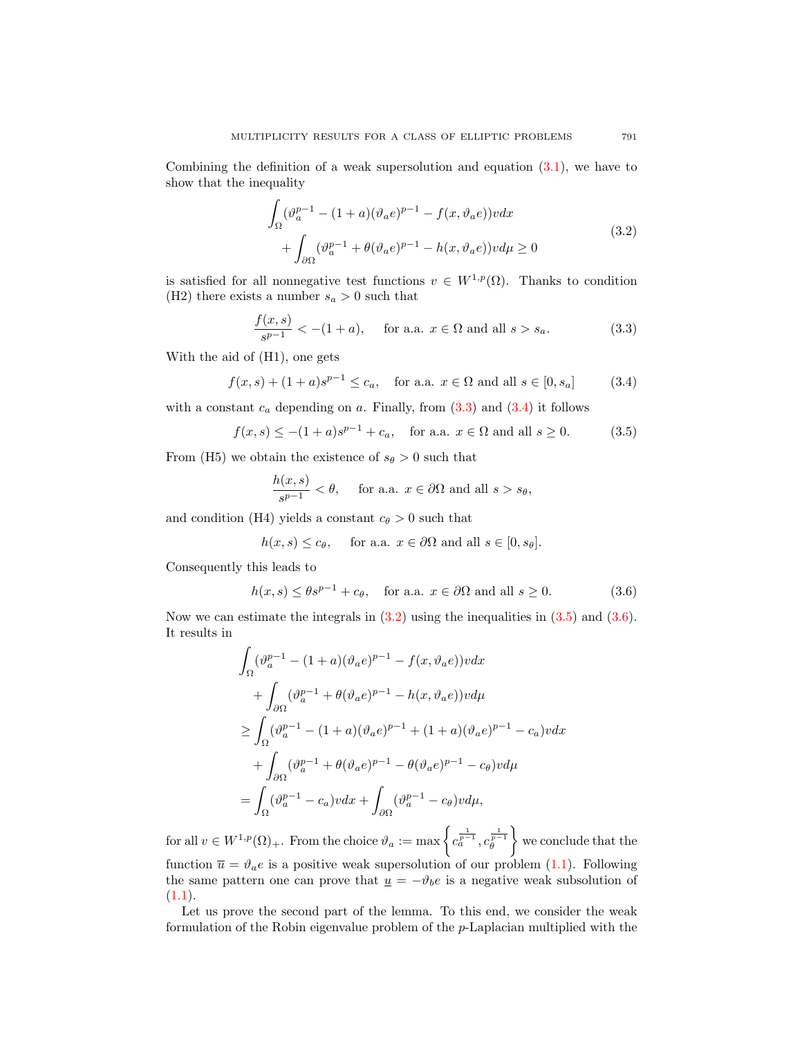Combining the definition of a weak supersolution and equation [\(3.1\)](#page-5-2), we have to show that the inequality

<span id="page-6-2"></span>
$$
\int_{\Omega} (\vartheta_a^{p-1} - (1+a)(\vartheta_a e)^{p-1} - f(x, \vartheta_a e))v dx + \int_{\partial\Omega} (\vartheta_a^{p-1} + \theta(\vartheta_a e)^{p-1} - h(x, \vartheta_a e))v d\mu \ge 0
$$
\n(3.2)

is satisfied for all nonnegative test functions  $v \in W^{1,p}(\Omega)$ . Thanks to condition (H2) there exists a number  $s_a > 0$  such that

<span id="page-6-0"></span>
$$
\frac{f(x,s)}{s^{p-1}} < -(1+a), \quad \text{ for a.a. } x \in \Omega \text{ and all } s > s_a.
$$
 (3.3)

With the aid of (H1), one gets

$$
f(x, s) + (1 + a)s^{p-1} \le c_a
$$
, for a.a.  $x \in \Omega$  and all  $s \in [0, s_a]$  (3.4)

with a constant  $c_a$  depending on a. Finally, from  $(3.3)$  and  $(3.4)$  it follows

$$
f(x, s) \le -(1 + a)s^{p-1} + c_a
$$
, for a.a.  $x \in \Omega$  and all  $s \ge 0$ . (3.5)

From (H5) we obtain the existence of  $s_{\theta} > 0$  such that

<span id="page-6-4"></span><span id="page-6-3"></span><span id="page-6-1"></span>
$$
\frac{h(x,s)}{s^{p-1}} < \theta, \quad \text{ for a.a. } x \in \partial\Omega \text{ and all } s > s_{\theta},
$$

and condition (H4) yields a constant  $c_{\theta} > 0$  such that

$$
h(x, s) \leq c_{\theta}
$$
, for a.a.  $x \in \partial\Omega$  and all  $s \in [0, s_{\theta}].$ 

Consequently this leads to

$$
h(x,s) \le \theta s^{p-1} + c_{\theta}, \quad \text{for a.a. } x \in \partial \Omega \text{ and all } s \ge 0.
$$
 (3.6)

Now we can estimate the integrals in  $(3.2)$  using the inequalities in  $(3.5)$  and  $(3.6)$ . It results in

$$
\int_{\Omega} (\vartheta_a^{p-1} - (1+a)(\vartheta_a e)^{p-1} - f(x, \vartheta_a e))v dx
$$
  
+ 
$$
\int_{\partial\Omega} (\vartheta_a^{p-1} + \theta(\vartheta_a e)^{p-1} - h(x, \vartheta_a e))v d\mu
$$
  

$$
\geq \int_{\Omega} (\vartheta_a^{p-1} - (1+a)(\vartheta_a e)^{p-1} + (1+a)(\vartheta_a e)^{p-1} - c_a)v dx
$$
  
+ 
$$
\int_{\partial\Omega} (\vartheta_a^{p-1} + \theta(\vartheta_a e)^{p-1} - \theta(\vartheta_a e)^{p-1} - c_{\theta})v d\mu
$$
  
= 
$$
\int_{\Omega} (\vartheta_a^{p-1} - c_a)v dx + \int_{\partial\Omega} (\vartheta_a^{p-1} - c_{\theta})v d\mu,
$$

for all  $v \in W^{1,p}(\Omega)_+$ . From the choice  $\vartheta_a := \max \left\{ c_a^{\frac{1}{p-1}}, c_\theta^{\frac{1}{p-1}} \right\}$  we conclude that the function  $\bar{u} = \vartheta_a e$  is a positive weak supersolution of our problem [\(1.1\)](#page-0-0). Following the same pattern one can prove that  $\underline{u} = -\vartheta_b e$  is a negative weak subsolution of  $(1.1).$  $(1.1).$ 

Let us prove the second part of the lemma. To this end, we consider the weak formulation of the Robin eigenvalue problem of the p-Laplacian multiplied with the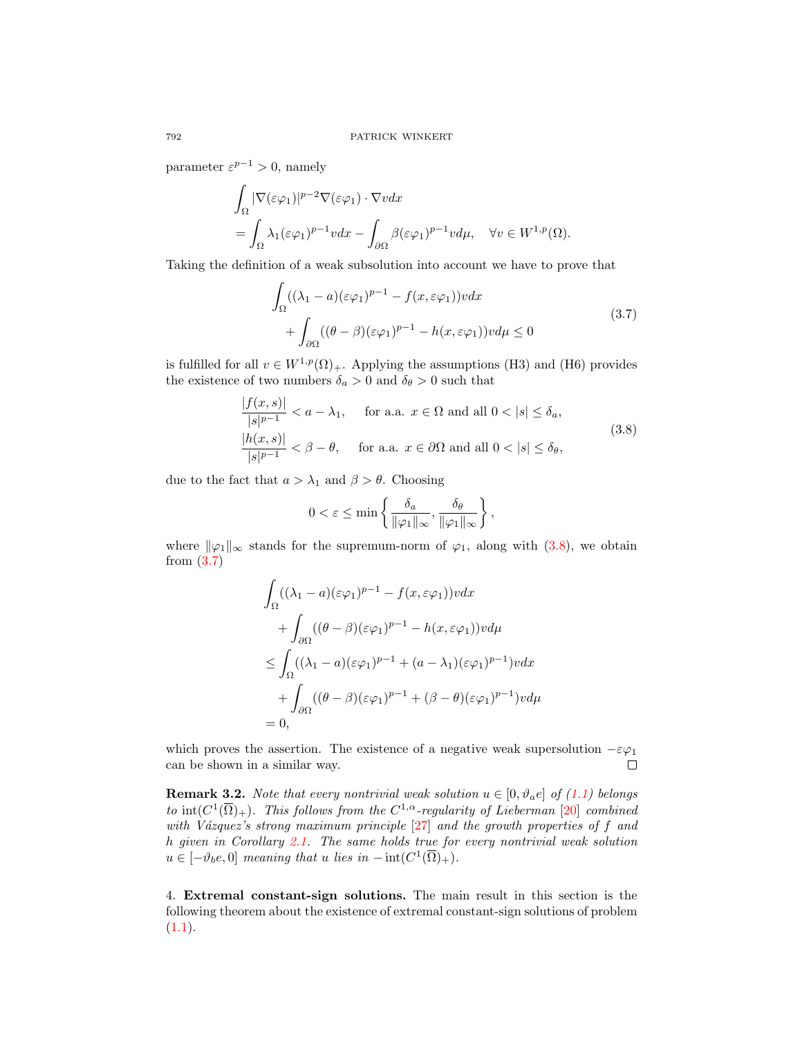parameter  $\varepsilon^{p-1} > 0$ , namely

$$
\int_{\Omega} |\nabla(\varepsilon \varphi_1)|^{p-2} \nabla(\varepsilon \varphi_1) \cdot \nabla v dx
$$
  
= 
$$
\int_{\Omega} \lambda_1(\varepsilon \varphi_1)^{p-1} v dx - \int_{\partial \Omega} \beta(\varepsilon \varphi_1)^{p-1} v d\mu, \quad \forall v \in W^{1,p}(\Omega).
$$

Taking the definition of a weak subsolution into account we have to prove that

<span id="page-7-2"></span>
$$
\int_{\Omega} ((\lambda_1 - a)(\varepsilon \varphi_1)^{p-1} - f(x, \varepsilon \varphi_1))v dx + \int_{\partial \Omega} ((\theta - \beta)(\varepsilon \varphi_1)^{p-1} - h(x, \varepsilon \varphi_1))v d\mu \le 0
$$
\n(3.7)

is fulfilled for all  $v \in W^{1,p}(\Omega)_+$ . Applying the assumptions (H3) and (H6) provides the existence of two numbers  $\delta_a > 0$  and  $\delta_\theta > 0$  such that

$$
\frac{|f(x,s)|}{|s|^{p-1}} < a - \lambda_1, \quad \text{for a.a. } x \in \Omega \text{ and all } 0 < |s| \le \delta_a,
$$
  

$$
\frac{|h(x,s)|}{|s|^{p-1}} < \beta - \theta, \quad \text{for a.a. } x \in \partial\Omega \text{ and all } 0 < |s| \le \delta_\theta,
$$
  
(3.8)

due to the fact that  $a > \lambda_1$  and  $\beta > \theta$ . Choosing

<span id="page-7-1"></span>
$$
0 < \varepsilon \le \min\left\{\frac{\delta_a}{\|\varphi_1\|_{\infty}}, \frac{\delta_\theta}{\|\varphi_1\|_{\infty}}\right\},\
$$

where  $\|\varphi_1\|_{\infty}$  stands for the supremum-norm of  $\varphi_1$ , along with [\(3.8\)](#page-7-1), we obtain from [\(3.7\)](#page-7-2)

$$
\int_{\Omega} ((\lambda_1 - a)(\varepsilon \varphi_1)^{p-1} - f(x, \varepsilon \varphi_1))v dx
$$
  
+ 
$$
\int_{\partial \Omega} ((\theta - \beta)(\varepsilon \varphi_1)^{p-1} - h(x, \varepsilon \varphi_1))v d\mu
$$
  

$$
\leq \int_{\Omega} ((\lambda_1 - a)(\varepsilon \varphi_1)^{p-1} + (a - \lambda_1)(\varepsilon \varphi_1)^{p-1})v dx
$$
  
+ 
$$
\int_{\partial \Omega} ((\theta - \beta)(\varepsilon \varphi_1)^{p-1} + (\beta - \theta)(\varepsilon \varphi_1)^{p-1})v d\mu
$$
  
= 0,

which proves the assertion. The existence of a negative weak supersolution  $-\varepsilon\varphi_1$ can be shown in a similar way.  $\Box$ 

<span id="page-7-3"></span>**Remark 3.2.** Note that every nontrivial weak solution  $u \in [0, \vartheta_a e]$  of [\(1.1\)](#page-0-0) belongs to  $\text{int}(C^1(\overline{\Omega})_+)$ . This follows from the  $C^{1,\alpha}$ -regularity of Lieberman [\[20\]](#page-17-0) combined with Vázquez's strong maximum principle  $[27]$  and the growth properties of f and h given in Corollary [2.1.](#page-3-0) The same holds true for every nontrivial weak solution  $u \in [-\vartheta_b e, 0]$  meaning that u lies in  $-\operatorname{int}(C^1(\overline{\Omega})_+).$ 

<span id="page-7-0"></span>4. Extremal constant-sign solutions. The main result in this section is the following theorem about the existence of extremal constant-sign solutions of problem  $(1.1).$  $(1.1).$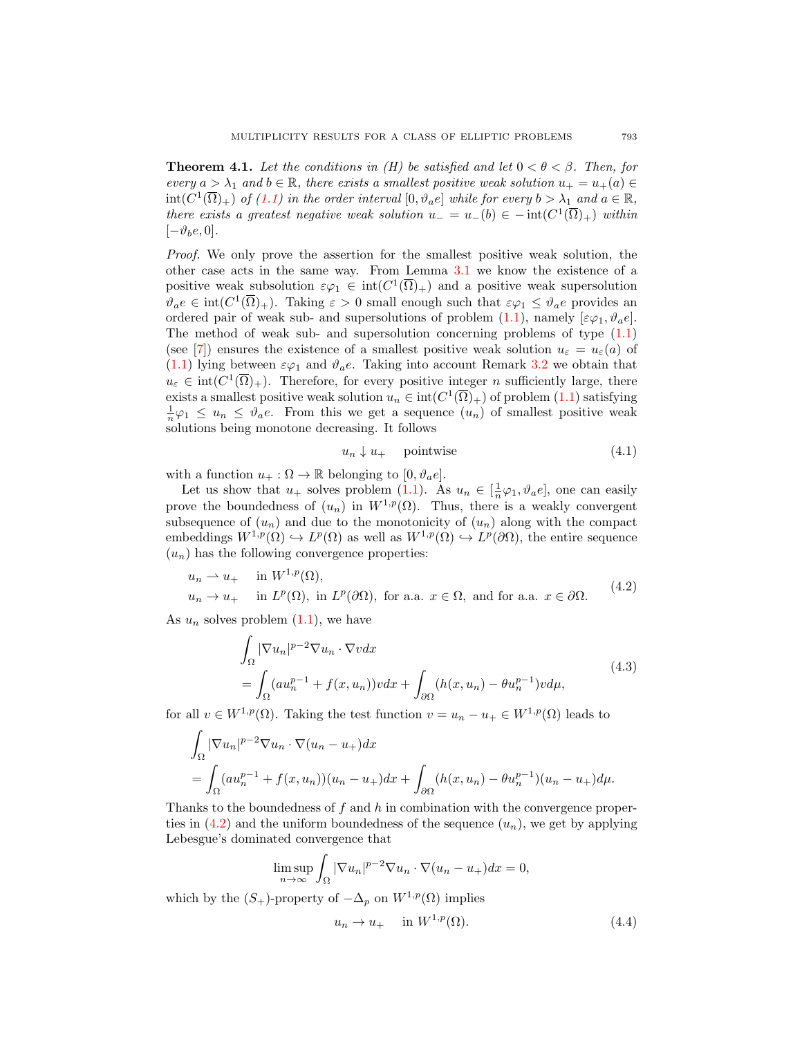<span id="page-8-0"></span>**Theorem 4.1.** Let the conditions in (H) be satisfied and let  $0 < \theta < \beta$ . Then, for every  $a > \lambda_1$  and  $b \in \mathbb{R}$ , there exists a smallest positive weak solution  $u_+ = u_+(a) \in$  $\text{int}(C^1(\overline{\Omega})_+)$  of  $(1.1)$  in the order interval  $[0, \vartheta_a e]$  while for every  $b > \lambda_1$  and  $a \in \mathbb{R}$ , there exists a greatest negative weak solution  $u_-=u_-(b) \in -\text{int}(C^1(\overline{\Omega})_+)$  within  $[-\vartheta_b e, 0].$ 

Proof. We only prove the assertion for the smallest positive weak solution, the other case acts in the same way. From Lemma [3.1](#page-5-3) we know the existence of a positive weak subsolution  $\varepsilon\varphi_1 \in \text{int}(C^1(\overline{\Omega})_+)$  and a positive weak supersolution  $\vartheta_a e \in \text{int}(C^1(\overline{\Omega})_+)$ . Taking  $\varepsilon > 0$  small enough such that  $\varepsilon \varphi_1 \leq \vartheta_a e$  provides an ordered pair of weak sub- and supersolutions of problem [\(1.1\)](#page-0-0), namely  $[\varepsilon\varphi_1, \vartheta_a e]$ . The method of weak sub- and supersolution concerning problems of type [\(1.1\)](#page-0-0) (see [\[7\]](#page-16-7)) ensures the existence of a smallest positive weak solution  $u_{\varepsilon} = u_{\varepsilon}(a)$  of  $(1.1)$  lying between  $\varepsilon\varphi_1$  and  $\vartheta_a e$ . Taking into account Remark [3.2](#page-7-3) we obtain that  $u_{\varepsilon} \in \text{int}(C^1(\overline{\Omega})_+)$ . Therefore, for every positive integer n sufficiently large, there exists a smallest positive weak solution  $u_n \in \text{int}(C^1(\overline{\Omega})_+)$  of problem  $(1.1)$  satisfying  $\frac{1}{n}\varphi_1 \leq u_n \leq \vartheta_a e$ . From this we get a sequence  $(u_n)$  of smallest positive weak solutions being monotone decreasing. It follows

<span id="page-8-4"></span><span id="page-8-3"></span><span id="page-8-1"></span>
$$
u_n \downarrow u_+ \quad \text{pointwise} \tag{4.1}
$$

with a function  $u_+ : \Omega \to \mathbb{R}$  belonging to  $[0, \vartheta_a e]$ .

Let us show that  $u_+$  solves problem [\(1.1\)](#page-0-0). As  $u_n \in [\frac{1}{n}\varphi_1, \vartheta_a e]$ , one can easily prove the boundedness of  $(u_n)$  in  $W^{1,p}(\Omega)$ . Thus, there is a weakly convergent subsequence of  $(u_n)$  and due to the monotonicity of  $(u_n)$  along with the compact embeddings  $W^{1,p}(\Omega) \hookrightarrow L^p(\Omega)$  as well as  $W^{1,p}(\Omega) \hookrightarrow L^p(\partial \Omega)$ , the entire sequence  $(u_n)$  has the following convergence properties:

$$
u_n \rightharpoonup u_+ \quad \text{in } W^{1,p}(\Omega),
$$
  
\n
$$
u_n \to u_+ \quad \text{in } L^p(\Omega), \text{ in } L^p(\partial\Omega), \text{ for a.a. } x \in \Omega, \text{ and for a.a. } x \in \partial\Omega.
$$
 (4.2)

As  $u_n$  solves problem  $(1.1)$ , we have

$$
\int_{\Omega} |\nabla u_n|^{p-2} \nabla u_n \cdot \nabla v dx
$$
\n
$$
= \int_{\Omega} (au_n^{p-1} + f(x, u_n)) v dx + \int_{\partial \Omega} (h(x, u_n) - \theta u_n^{p-1}) v d\mu,
$$
\n(4.3)

for all  $v \in W^{1,p}(\Omega)$ . Taking the test function  $v = u_n - u_+ \in W^{1,p}(\Omega)$  leads to

$$
\int_{\Omega} |\nabla u_n|^{p-2} \nabla u_n \cdot \nabla (u_n - u_+) dx
$$
  
= 
$$
\int_{\Omega} (au_n^{p-1} + f(x, u_n))(u_n - u_+) dx + \int_{\partial \Omega} (h(x, u_n) - \theta u_n^{p-1})(u_n - u_+) d\mu.
$$

Thanks to the boundedness of f and h in combination with the convergence properties in  $(4.2)$  and the uniform boundedness of the sequence  $(u_n)$ , we get by applying Lebesgue's dominated convergence that

$$
\limsup_{n \to \infty} \int_{\Omega} |\nabla u_n|^{p-2} \nabla u_n \cdot \nabla (u_n - u_+) dx = 0,
$$

which by the  $(S_+)$ -property of  $-\Delta_p$  on  $W^{1,p}(\Omega)$  implies

<span id="page-8-2"></span>
$$
u_n \to u_+ \quad \text{in } W^{1,p}(\Omega). \tag{4.4}
$$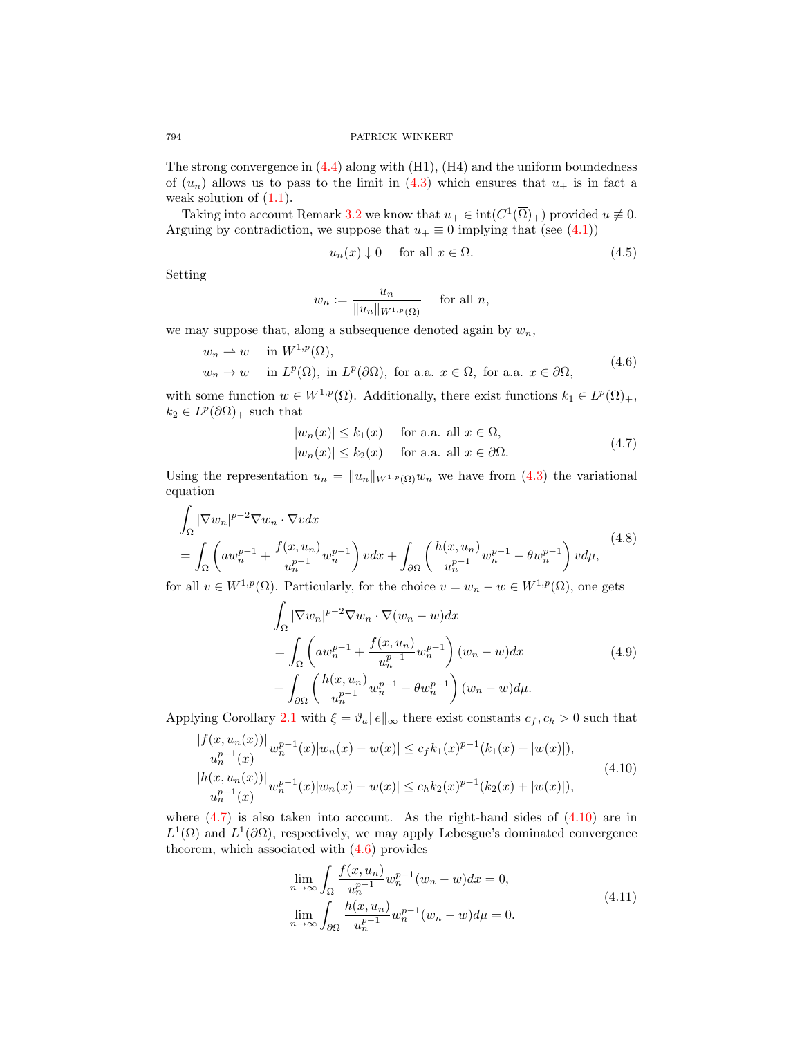The strong convergence in  $(4.4)$  along with  $(H1)$ ,  $(H4)$  and the uniform boundedness of  $(u_n)$  allows us to pass to the limit in [\(4.3\)](#page-8-3) which ensures that  $u_+$  is in fact a weak solution of  $(1.1)$ .

Taking into account Remark [3.2](#page-7-3) we know that  $u_+ \in \text{int}(C^1(\overline{\Omega})_+)$  provided  $u \neq 0$ . Arguing by contradiction, we suppose that  $u_+ \equiv 0$  implying that (see [\(4.1\)](#page-8-4))

<span id="page-9-5"></span><span id="page-9-2"></span>
$$
u_n(x) \downarrow 0 \quad \text{ for all } x \in \Omega. \tag{4.5}
$$

Setting

$$
w_n := \frac{u_n}{\|u_n\|_{W^{1,p}(\Omega)}} \quad \text{ for all } n,
$$

we may suppose that, along a subsequence denoted again by  $w_n$ ,

$$
w_n \rightharpoonup w \quad \text{in } W^{1,p}(\Omega),
$$
  
\n
$$
w_n \to w \quad \text{in } L^p(\Omega), \text{ in } L^p(\partial \Omega), \text{ for a.a. } x \in \Omega, \text{ for a.a. } x \in \partial \Omega,
$$
\n
$$
(4.6)
$$

with some function  $w \in W^{1,p}(\Omega)$ . Additionally, there exist functions  $k_1 \in L^p(\Omega)_+$ ,  $k_2 \in L^p(\partial\Omega)_+$  such that

<span id="page-9-6"></span><span id="page-9-0"></span>
$$
|w_n(x)| \le k_1(x) \quad \text{for a.a. all } x \in \Omega,
$$
  

$$
|w_n(x)| \le k_2(x) \quad \text{for a.a. all } x \in \partial\Omega.
$$
 (4.7)

Using the representation  $u_n = ||u_n||_{W^{1,p}(\Omega)}w_n$  we have from [\(4.3\)](#page-8-3) the variational equation

$$
\int_{\Omega} |\nabla w_n|^{p-2} \nabla w_n \cdot \nabla v dx
$$
\n
$$
= \int_{\Omega} \left( aw_n^{p-1} + \frac{f(x, u_n)}{u_n^{p-1}} w_n^{p-1} \right) v dx + \int_{\partial \Omega} \left( \frac{h(x, u_n)}{u_n^{p-1}} w_n^{p-1} - \theta w_n^{p-1} \right) v d\mu,
$$
\n(4.8)

for all  $v \in W^{1,p}(\Omega)$ . Particularly, for the choice  $v = w_n - w \in W^{1,p}(\Omega)$ , one gets

<span id="page-9-3"></span>
$$
\int_{\Omega} |\nabla w_n|^{p-2} \nabla w_n \cdot \nabla (w_n - w) dx
$$
\n
$$
= \int_{\Omega} \left( aw_n^{p-1} + \frac{f(x, u_n)}{u_n^{p-1}} w_n^{p-1} \right) (w_n - w) dx
$$
\n
$$
+ \int_{\partial \Omega} \left( \frac{h(x, u_n)}{u_n^{p-1}} w_n^{p-1} - \theta w_n^{p-1} \right) (w_n - w) d\mu.
$$
\n(4.9)

Applying Corollary [2.1](#page-3-0) with  $\xi = \vartheta_a ||e||_{\infty}$  there exist constants  $c_f, c_h > 0$  such that  $|f(1, x)| \leq |f(x)|$ 

$$
\frac{|f(x, u_n(x))|}{u_n^{p-1}(x)} w_n^{p-1}(x)|w_n(x) - w(x)| \le c_f k_1(x)^{p-1}(k_1(x) + |w(x)|),
$$
  
\n
$$
\frac{|h(x, u_n(x))|}{u_n^{p-1}(x)} w_n^{p-1}(x)|w_n(x) - w(x)| \le c_h k_2(x)^{p-1}(k_2(x) + |w(x)|),
$$
\n(4.10)

where  $(4.7)$  is also taken into account. As the right-hand sides of  $(4.10)$  are in  $L^1(\Omega)$  and  $L^1(\partial\Omega)$ , respectively, we may apply Lebesgue's dominated convergence theorem, which associated with  $(4.6)$  provides

<span id="page-9-4"></span><span id="page-9-1"></span>
$$
\lim_{n \to \infty} \int_{\Omega} \frac{f(x, u_n)}{u_n^{p-1}} w_n^{p-1} (w_n - w) dx = 0,
$$
\n
$$
\lim_{n \to \infty} \int_{\partial \Omega} \frac{h(x, u_n)}{u_n^{p-1}} w_n^{p-1} (w_n - w) d\mu = 0.
$$
\n(4.11)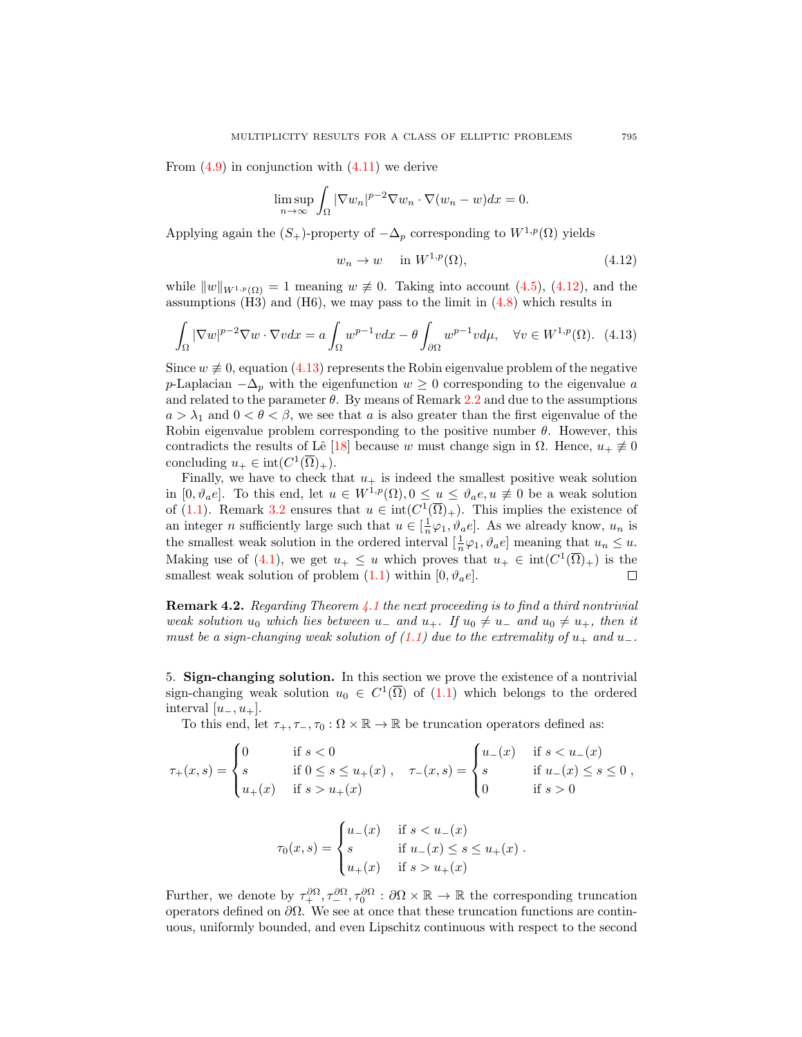From  $(4.9)$  in conjunction with  $(4.11)$  we derive

$$
\limsup_{n \to \infty} \int_{\Omega} |\nabla w_n|^{p-2} \nabla w_n \cdot \nabla (w_n - w) dx = 0.
$$

Applying again the  $(S_+)$ -property of  $-\Delta_p$  corresponding to  $W^{1,p}(\Omega)$  yields

$$
w_n \to w \quad \text{in } W^{1,p}(\Omega), \tag{4.12}
$$

while  $||w||_{W^{1,p}(\Omega)} = 1$  meaning  $w \neq 0$ . Taking into account [\(4.5\)](#page-9-5), [\(4.12\)](#page-10-0), and the assumptions  $(H3)$  and  $(H6)$ , we may pass to the limit in  $(4.8)$  which results in

$$
\int_{\Omega} |\nabla w|^{p-2} \nabla w \cdot \nabla v dx = a \int_{\Omega} w^{p-1} v dx - \theta \int_{\partial \Omega} w^{p-1} v d\mu, \quad \forall v \in W^{1,p}(\Omega). \tag{4.13}
$$

Since  $w \neq 0$ , equation [\(4.13\)](#page-10-1) represents the Robin eigenvalue problem of the negative p-Laplacian  $-\Delta_p$  with the eigenfunction  $w \geq 0$  corresponding to the eigenvalue a and related to the parameter  $\theta$ . By means of Remark [2.2](#page-4-1) and due to the assumptions  $a > \lambda_1$  and  $0 < \theta < \beta$ , we see that a is also greater than the first eigenvalue of the Robin eigenvalue problem corresponding to the positive number  $\theta$ . However, this contradicts the results of Lê [\[18\]](#page-17-14) because w must change sign in  $\Omega$ . Hence,  $u_+ \neq 0$ concluding  $u_+ \in \text{int}(C^1(\overline{\Omega})_+).$ 

Finally, we have to check that  $u_+$  is indeed the smallest positive weak solution in  $[0, \vartheta_a e]$ . To this end, let  $u \in W^{1,p}(\Omega), 0 \leq u \leq \vartheta_a e, u \neq 0$  be a weak solution of [\(1.1\)](#page-0-0). Remark [3.2](#page-7-3) ensures that  $u \in \text{int}(C^1(\overline{\Omega})_+)$ . This implies the existence of an integer *n* sufficiently large such that  $u \in [\frac{1}{n}\varphi_1, \vartheta_a e]$ . As we already know,  $u_n$  is the smallest weak solution in the ordered interval  $[\frac{1}{n}\varphi_1, \vartheta_a e]$  meaning that  $u_n \leq u$ . Making use of [\(4.1\)](#page-8-4), we get  $u_+ \leq u$  which proves that  $u_+ \in \text{int}(C^1(\overline{\Omega})_+)$  is the smallest weak solution of problem  $(1.1)$  within  $[0, \vartheta_a e]$ . П

**Remark 4.2.** Regarding Theorem  $\angle 4.1$  $\angle 4.1$  the next proceeding is to find a third nontrivial weak solution  $u_0$  which lies between  $u_-$  and  $u_+$ . If  $u_0 \neq u_-$  and  $u_0 \neq u_+$ , then it must be a sign-changing weak solution of  $(1.1)$  due to the extremality of  $u_+$  and  $u_-$ .

5. Sign-changing solution. In this section we prove the existence of a nontrivial sign-changing weak solution  $u_0 \in C^1(\overline{\Omega})$  of  $(1.1)$  which belongs to the ordered interval  $[u_-, u_+]$ .

To this end, let  $\tau_+$ ,  $\tau_-$ ,  $\tau_0$ :  $\Omega \times \mathbb{R} \to \mathbb{R}$  be truncation operators defined as:

$$
\tau_+(x,s) = \begin{cases} 0 & \text{if } s < 0 \\ s & \text{if } 0 \le s \le u_+(x) \\ u_+(x) & \text{if } s > u_+(x) \end{cases}, \quad \tau_-(x,s) = \begin{cases} u_-(x) & \text{if } s < u_-(x) \\ s & \text{if } u_-(x) \le s \le 0 \\ 0 & \text{if } s > 0 \end{cases},
$$

$$
\tau_0(x,s) = \begin{cases} u_-(x) & \text{if } s < u_-(x) \\ s & \text{if } u_-(x) \le s \le u_+(x) \\ u_+(x) & \text{if } s > u_+(x) \end{cases}.
$$

Further, we denote by  $\tau_+^{\partial\Omega}, \tau_-^{\partial\Omega}, \tau_0^{\partial\Omega}$  :  $\partial\Omega \times \mathbb{R} \to \mathbb{R}$  the corresponding truncation operators defined on  $\partial\Omega$ . We see at once that these truncation functions are continuous, uniformly bounded, and even Lipschitz continuous with respect to the second

<span id="page-10-1"></span><span id="page-10-0"></span>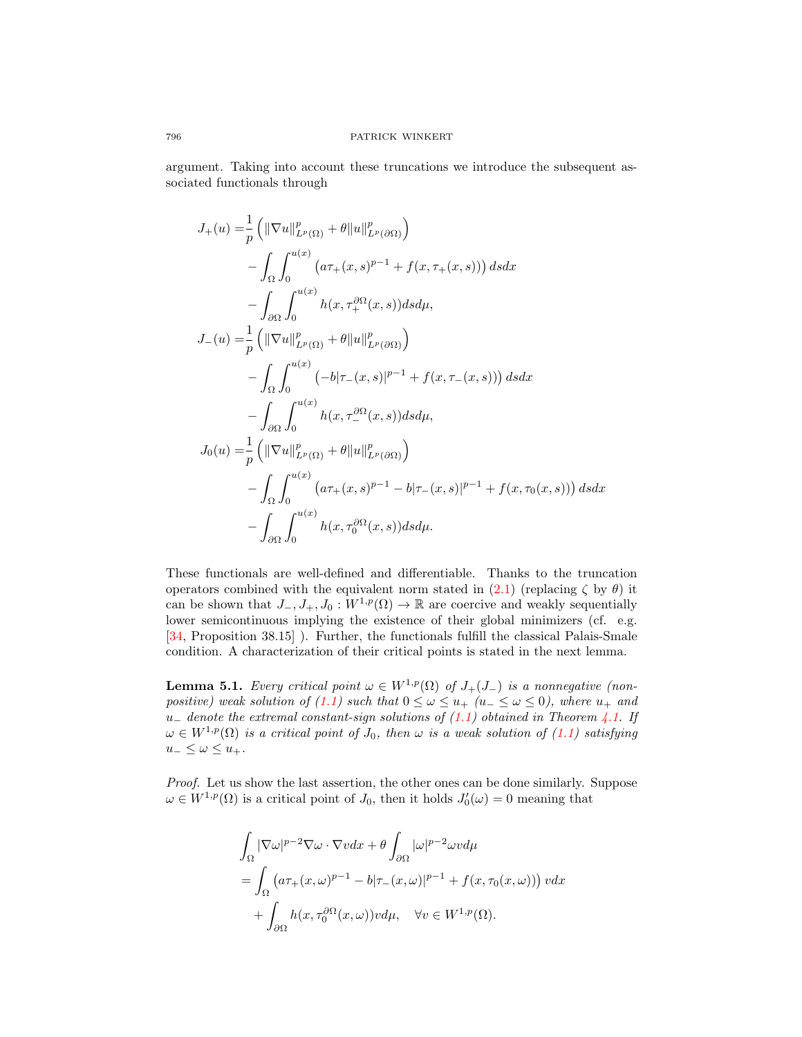argument. Taking into account these truncations we introduce the subsequent associated functionals through

$$
J_{+}(u) = \frac{1}{p} \left( \|\nabla u\|_{L^{p}(\Omega)}^{p} + \theta \|u\|_{L^{p}(\partial\Omega)}^{p} \right)
$$
  
\n
$$
- \int_{\Omega} \int_{0}^{u(x)} \left( a\tau_{+}(x,s)^{p-1} + f(x,\tau_{+}(x,s)) \right) ds dx
$$
  
\n
$$
- \int_{\partial\Omega} \int_{0}^{u(x)} h(x,\tau_{+}^{\partial\Omega}(x,s)) ds d\mu,
$$
  
\n
$$
J_{-}(u) = \frac{1}{p} \left( \|\nabla u\|_{L^{p}(\Omega)}^{p} + \theta \|u\|_{L^{p}(\partial\Omega)}^{p} \right)
$$
  
\n
$$
- \int_{\Omega} \int_{0}^{u(x)} (-b|\tau_{-}(x,s)|^{p-1} + f(x,\tau_{-}(x,s))) ds dx
$$
  
\n
$$
- \int_{\partial\Omega} \int_{0}^{u(x)} h(x,\tau_{-}^{\partial\Omega}(x,s)) ds d\mu,
$$
  
\n
$$
J_{0}(u) = \frac{1}{p} \left( \|\nabla u\|_{L^{p}(\Omega)}^{p} + \theta \|u\|_{L^{p}(\partial\Omega)}^{p} \right)
$$
  
\n
$$
- \int_{\Omega} \int_{0}^{u(x)} (a\tau_{+}(x,s)^{p-1} - b|\tau_{-}(x,s)|^{p-1} + f(x,\tau_{0}(x,s))) ds dx
$$
  
\n
$$
- \int_{\partial\Omega} \int_{0}^{u(x)} h(x,\tau_{0}^{\partial\Omega}(x,s)) ds d\mu.
$$

These functionals are well-defined and differentiable. Thanks to the truncation operators combined with the equivalent norm stated in  $(2.1)$  (replacing  $\zeta$  by  $\theta$ ) it can be shown that  $J_-, J_+, J_0 : W^{1,p}(\Omega) \to \mathbb{R}$  are coercive and weakly sequentially lower semicontinuous implying the existence of their global minimizers (cf. e.g. [\[34,](#page-17-20) Proposition 38.15] ). Further, the functionals fulfill the classical Palais-Smale condition. A characterization of their critical points is stated in the next lemma.

<span id="page-11-0"></span>**Lemma 5.1.** Every critical point  $\omega \in W^{1,p}(\Omega)$  of  $J_+(J_-)$  is a nonnegative (non-positive) weak solution of [\(1.1\)](#page-0-0) such that  $0 \leq \omega \leq u_+$  ( $u_- \leq \omega \leq 0$ ), where  $u_+$  and u<sub>−</sub> denote the extremal constant-sign solutions of  $(1.1)$  obtained in Theorem [4.1.](#page-8-0) If  $\omega \in W^{1,p}(\Omega)$  is a critical point of  $J_0$ , then  $\omega$  is a weak solution of  $(1.1)$  satisfying  $u_-\leq \omega \leq u_+$ .

Proof. Let us show the last assertion, the other ones can be done similarly. Suppose  $\omega \in W^{1,p}(\Omega)$  is a critical point of  $J_0$ , then it holds  $J'_0(\omega) = 0$  meaning that

$$
\int_{\Omega} |\nabla \omega|^{p-2} \nabla \omega \cdot \nabla v dx + \theta \int_{\partial \Omega} |\omega|^{p-2} \omega v d\mu
$$
  
= 
$$
\int_{\Omega} (a\tau_{+}(x,\omega)^{p-1} - b|\tau_{-}(x,\omega)|^{p-1} + f(x,\tau_{0}(x,\omega))) v dx
$$
  
+ 
$$
\int_{\partial \Omega} h(x,\tau_{0}^{\partial \Omega}(x,\omega)) v d\mu, \quad \forall v \in W^{1,p}(\Omega).
$$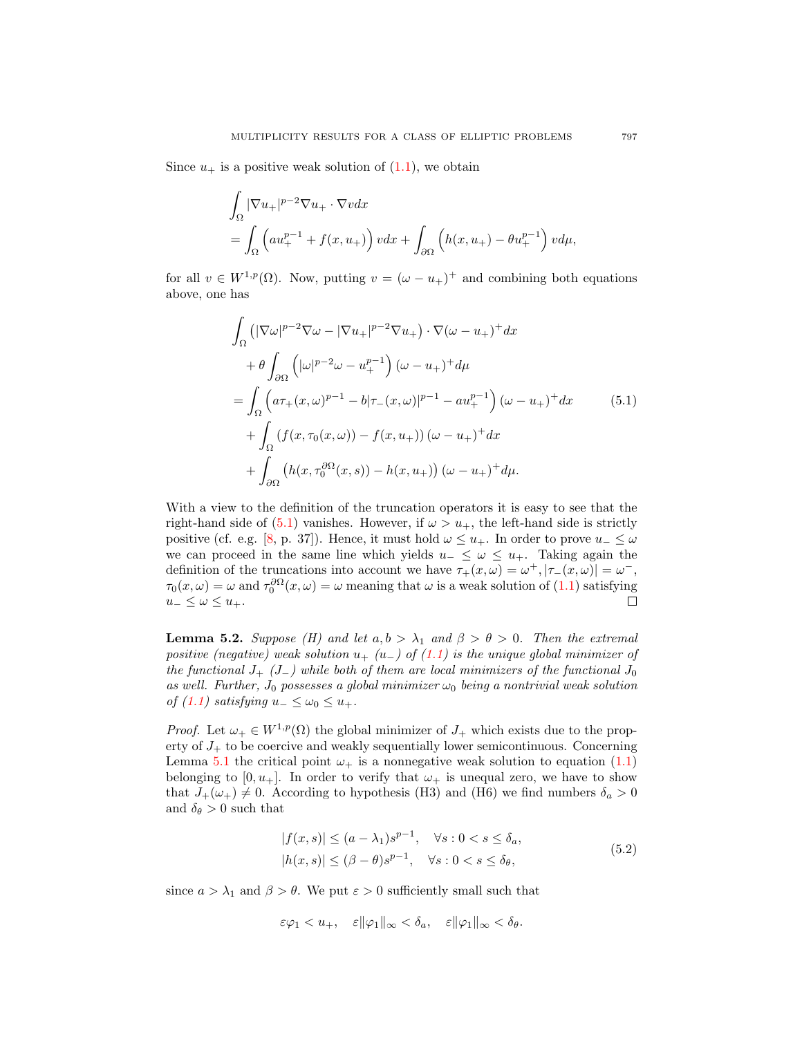Since  $u_+$  is a positive weak solution of  $(1.1)$ , we obtain

$$
\int_{\Omega} |\nabla u_+|^{p-2} \nabla u_+ \cdot \nabla v dx
$$
\n
$$
= \int_{\Omega} \left( a u_+^{p-1} + f(x, u_+) \right) v dx + \int_{\partial \Omega} \left( h(x, u_+) - \theta u_+^{p-1} \right) v d\mu,
$$

for all  $v \in W^{1,p}(\Omega)$ . Now, putting  $v = (\omega - u_+)^+$  and combining both equations above, one has

<span id="page-12-0"></span>
$$
\int_{\Omega} \left( |\nabla \omega|^{p-2} \nabla \omega - |\nabla u_+|^{p-2} \nabla u_+ \right) \cdot \nabla (\omega - u_+)^+ dx
$$
\n
$$
+ \theta \int_{\partial \Omega} \left( |\omega|^{p-2} \omega - u_+^{p-1} \right) (\omega - u_+)^+ d\mu
$$
\n
$$
= \int_{\Omega} \left( a\tau_+(x,\omega)^{p-1} - b|\tau_-(x,\omega)|^{p-1} - au_+^{p-1} \right) (\omega - u_+)^+ dx
$$
\n
$$
+ \int_{\Omega} \left( f(x,\tau_0(x,\omega)) - f(x,u_+) \right) (\omega - u_+)^+ dx
$$
\n
$$
+ \int_{\partial \Omega} \left( h(x,\tau_0^{\partial \Omega}(x,s)) - h(x,u_+) \right) (\omega - u_+)^+ d\mu.
$$
\n(5.1)

With a view to the definition of the truncation operators it is easy to see that the right-hand side of [\(5.1\)](#page-12-0) vanishes. However, if  $\omega > u_+$ , the left-hand side is strictly positive (cf. e.g. [\[8,](#page-16-9) p. 37]). Hence, it must hold  $\omega \leq u_+$ . In order to prove  $u_-\leq \omega$ we can proceed in the same line which yields  $u_-\leq \omega \leq u_+$ . Taking again the definition of the truncations into account we have  $\tau_+(x,\omega) = \omega^+, |\tau_-(x,\omega)| = \omega^-,$  $\tau_0(x,\omega) = \omega$  and  $\tau_0^{\partial\Omega}(x,\omega) = \omega$  meaning that  $\omega$  is a weak solution of [\(1.1\)](#page-0-0) satisfying  $u_-\leq \omega \leq u_+$ .  $\Box$ 

<span id="page-12-2"></span>**Lemma 5.2.** Suppose (H) and let  $a, b > \lambda_1$  and  $\beta > \theta > 0$ . Then the extremal positive (negative) weak solution  $u_{+}$  (u\_) of [\(1.1\)](#page-0-0) is the unique global minimizer of the functional  $J_{+}$  ( $J_{-}$ ) while both of them are local minimizers of the functional  $J_{0}$ as well. Further,  $J_0$  possesses a global minimizer  $\omega_0$  being a nontrivial weak solution of [\(1.1\)](#page-0-0) satisfying  $u_-\leq \omega_0\leq u_+$ .

*Proof.* Let  $\omega_+ \in W^{1,p}(\Omega)$  the global minimizer of  $J_+$  which exists due to the property of  $J_+$  to be coercive and weakly sequentially lower semicontinuous. Concerning Lemma [5.1](#page-11-0) the critical point  $\omega_+$  is a nonnegative weak solution to equation [\(1.1\)](#page-0-0) belonging to  $[0, u_+]$ . In order to verify that  $\omega_+$  is unequal zero, we have to show that  $J_+(\omega_+) \neq 0$ . According to hypothesis (H3) and (H6) we find numbers  $\delta_a > 0$ and  $\delta_{\theta} > 0$  such that

<span id="page-12-1"></span>
$$
|f(x,s)| \le (a - \lambda_1)s^{p-1}, \quad \forall s : 0 < s \le \delta_a,
$$
  

$$
|h(x,s)| \le (\beta - \theta)s^{p-1}, \quad \forall s : 0 < s \le \delta_\theta,
$$
 (5.2)

since  $a > \lambda_1$  and  $\beta > \theta$ . We put  $\varepsilon > 0$  sufficiently small such that

$$
\varepsilon\varphi_1
$$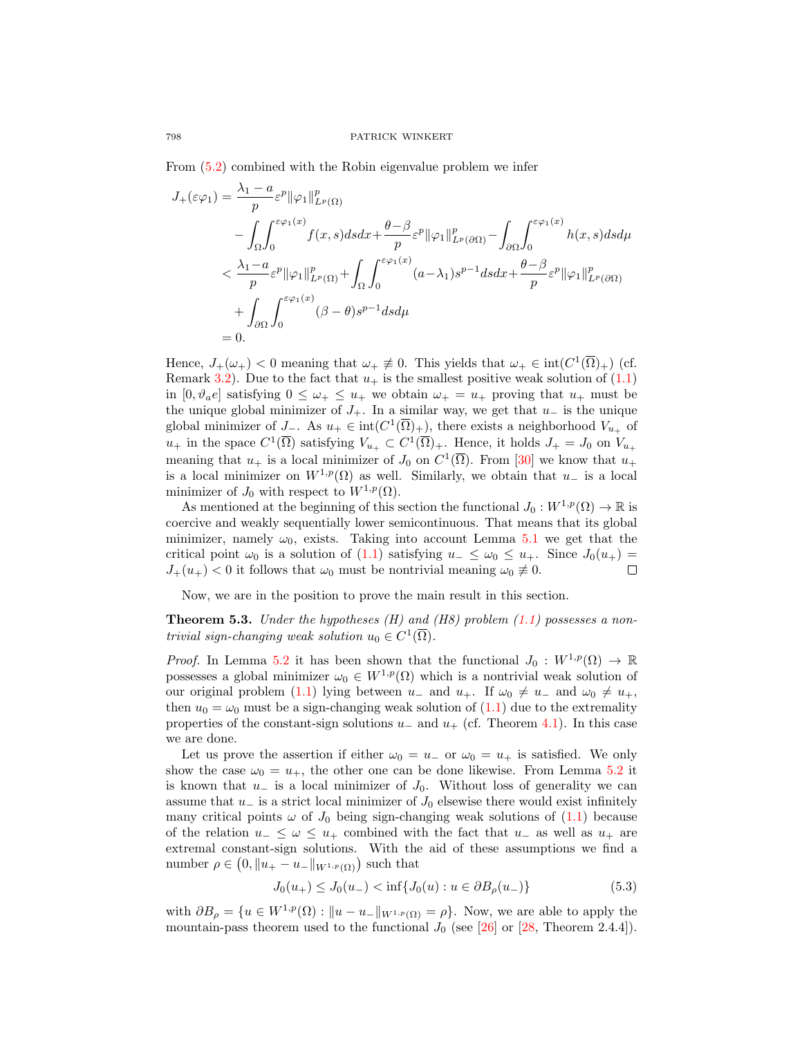From [\(5.2\)](#page-12-1) combined with the Robin eigenvalue problem we infer

$$
J_{+}(\varepsilon\varphi_{1}) = \frac{\lambda_{1} - a}{p} \varepsilon^{p} ||\varphi_{1}||_{L^{p}(\Omega)}^{p}
$$
  
\n
$$
- \int_{\Omega} \int_{0}^{\varepsilon\varphi_{1}(x)} f(x, s) ds dx + \frac{\theta - \beta}{p} \varepsilon^{p} ||\varphi_{1}||_{L^{p}(\partial\Omega)}^{p} - \int_{\partial\Omega} \int_{0}^{\varepsilon\varphi_{1}(x)} h(x, s) ds d\mu
$$
  
\n
$$
< \frac{\lambda_{1} - a}{p} \varepsilon^{p} ||\varphi_{1}||_{L^{p}(\Omega)}^{p} + \int_{\Omega} \int_{0}^{\varepsilon\varphi_{1}(x)} (a - \lambda_{1}) s^{p-1} ds dx + \frac{\theta - \beta}{p} \varepsilon^{p} ||\varphi_{1}||_{L^{p}(\partial\Omega)}^{p}
$$
  
\n
$$
+ \int_{\partial\Omega} \int_{0}^{\varepsilon\varphi_{1}(x)} (\beta - \theta) s^{p-1} ds d\mu
$$
  
\n= 0.

Hence,  $J_+(\omega_+) < 0$  meaning that  $\omega_+ \neq 0$ . This yields that  $\omega_+ \in \text{int}(C^1(\overline{\Omega})_+)$  (cf. Remark [3.2\)](#page-7-3). Due to the fact that  $u_+$  is the smallest positive weak solution of [\(1.1\)](#page-0-0) in  $[0, \vartheta_a e]$  satisfying  $0 \leq \omega_+ \leq u_+$  we obtain  $\omega_+ = u_+$  proving that  $u_+$  must be the unique global minimizer of  $J_+$ . In a similar way, we get that  $u_-$  is the unique global minimizer of  $J_-\$ . As  $u_+ \in \text{int}(C^1(\overline{\Omega})_+)$ , there exists a neighborhood  $V_{u_+}$  of  $u_+$  in the space  $C^1(\overline{\Omega})$  satisfying  $V_{u_+}\subset C^1(\overline{\Omega})_+$ . Hence, it holds  $J_+=J_0$  on  $V_{u_+}$ meaning that  $u_+$  is a local minimizer of  $J_0$  on  $C^1(\overline{\Omega})$ . From [\[30\]](#page-17-21) we know that  $u_+$ is a local minimizer on  $W^{1,p}(\Omega)$  as well. Similarly, we obtain that  $u_-\,$  is a local minimizer of  $J_0$  with respect to  $W^{1,p}(\Omega)$ .

As mentioned at the beginning of this section the functional  $J_0 : W^{1,p}(\Omega) \to \mathbb{R}$  is coercive and weakly sequentially lower semicontinuous. That means that its global minimizer, namely  $\omega_0$ , exists. Taking into account Lemma [5.1](#page-11-0) we get that the critical point  $\omega_0$  is a solution of [\(1.1\)](#page-0-0) satisfying  $u_-\leq \omega_0 \leq u_+$ . Since  $J_0(u_+)$  $J_+(u_+) < 0$  it follows that  $\omega_0$  must be nontrivial meaning  $\omega_0 \neq 0$ .  $\Box$ 

Now, we are in the position to prove the main result in this section.

**Theorem 5.3.** Under the hypotheses  $(H)$  and  $(H8)$  problem  $(1.1)$  possesses a nontrivial sign-changing weak solution  $u_0 \in C^1(\overline{\Omega})$ .

*Proof.* In Lemma [5.2](#page-12-2) it has been shown that the functional  $J_0: W^{1,p}(\Omega) \to \mathbb{R}$ possesses a global minimizer  $\omega_0 \in W^{1,p}(\Omega)$  which is a nontrivial weak solution of our original problem [\(1.1\)](#page-0-0) lying between  $u_-\,$  and  $u_+$ . If  $\omega_0 \neq u_-\,$  and  $\omega_0 \neq u_+$ , then  $u_0 = \omega_0$  must be a sign-changing weak solution of  $(1.1)$  due to the extremality properties of the constant-sign solutions  $u_-\,$  and  $u_+$  (cf. Theorem [4.1\)](#page-8-0). In this case we are done.

Let us prove the assertion if either  $\omega_0 = u_-$  or  $\omega_0 = u_+$  is satisfied. We only show the case  $\omega_0 = u_+$ , the other one can be done likewise. From Lemma [5.2](#page-12-2) it is known that  $u_$  is a local minimizer of  $J_0$ . Without loss of generality we can assume that  $u_-\$  is a strict local minimizer of  $J_0$  elsewise there would exist infinitely many critical points  $\omega$  of  $J_0$  being sign-changing weak solutions of [\(1.1\)](#page-0-0) because of the relation  $u_-\leq \omega \leq u_+$  combined with the fact that  $u_-$  as well as  $u_+$  are extremal constant-sign solutions. With the aid of these assumptions we find a number  $\rho \in (0, \|u_+ - u_-\|_{W^{1,p}(\Omega)})$  such that

<span id="page-13-0"></span>
$$
J_0(u_+) \le J_0(u_-) < \inf\{J_0(u) : u \in \partial B_\rho(u_-)\}\tag{5.3}
$$

with  $\partial B_{\rho} = \{u \in W^{1,p}(\Omega) : ||u - u_-||_{W^{1,p}(\Omega)} = \rho\}$ . Now, we are able to apply the mountain-pass theorem used to the functional  $J_0$  (see [\[26\]](#page-17-22) or [\[28,](#page-17-23) Theorem 2.4.4]).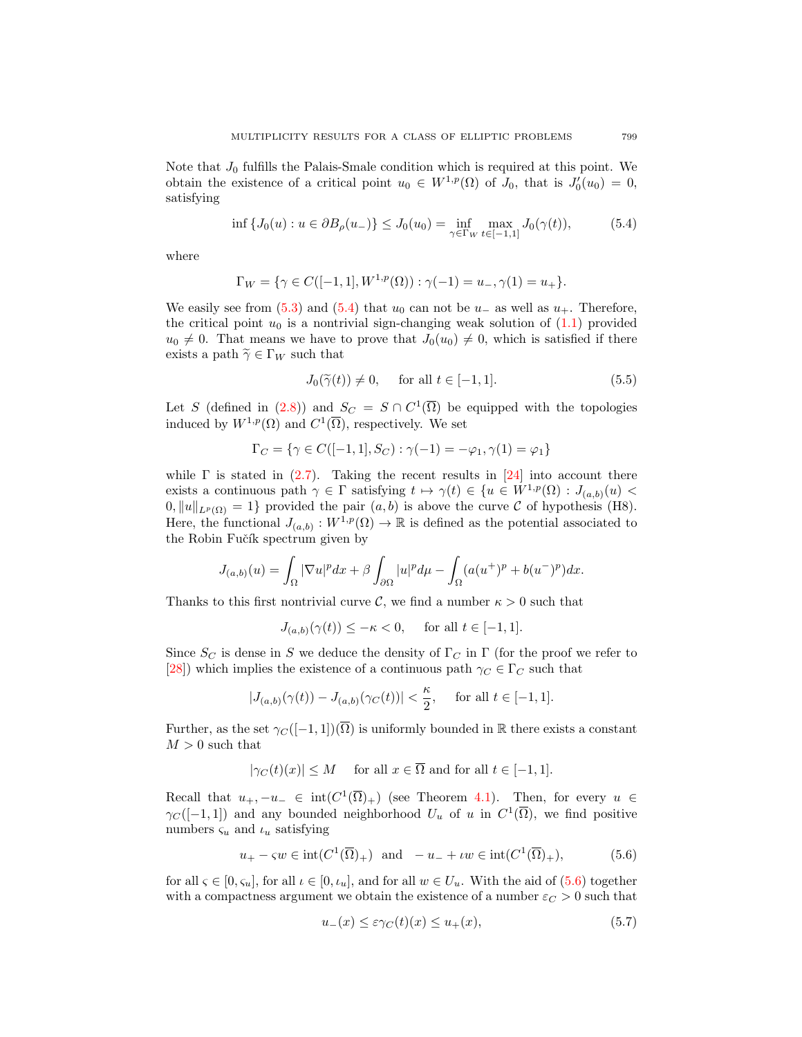Note that  $J_0$  fulfills the Palais-Smale condition which is required at this point. We obtain the existence of a critical point  $u_0 \in W^{1,p}(\Omega)$  of  $J_0$ , that is  $J'_0(u_0) = 0$ , satisfying

$$
\inf \{ J_0(u) : u \in \partial B_{\rho}(u_-) \} \le J_0(u_0) = \inf_{\gamma \in \Gamma_W} \max_{t \in [-1,1]} J_0(\gamma(t)), \tag{5.4}
$$

where

$$
\Gamma_W = \{ \gamma \in C([-1, 1], W^{1, p}(\Omega)) : \gamma(-1) = u_-, \gamma(1) = u_+ \}.
$$

We easily see from  $(5.3)$  and  $(5.4)$  that  $u_0$  can not be  $u_-\,$  as well as  $u_+\,$ . Therefore, the critical point  $u_0$  is a nontrivial sign-changing weak solution of  $(1.1)$  provided  $u_0 \neq 0$ . That means we have to prove that  $J_0(u_0) \neq 0$ , which is satisfied if there exists a path  $\widetilde{\gamma} \in \Gamma_W$  such that

<span id="page-14-3"></span><span id="page-14-0"></span>
$$
J_0(\tilde{\gamma}(t)) \neq 0, \quad \text{ for all } t \in [-1, 1]. \tag{5.5}
$$

Let S (defined in [\(2.8\)](#page-4-2)) and  $S_C = S \cap C^1(\overline{\Omega})$  be equipped with the topologies induced by  $W^{1,p}(\Omega)$  and  $C^1(\overline{\Omega})$ , respectively. We set

$$
\Gamma_C = \{ \gamma \in C([-1, 1], S_C) : \gamma(-1) = -\varphi_1, \gamma(1) = \varphi_1 \}
$$

while  $\Gamma$  is stated in  $(2.7)$ . Taking the recent results in  $[24]$  into account there exists a continuous path  $\gamma \in \Gamma$  satisfying  $t \mapsto \gamma(t) \in \{u \in W^{1,p}(\Omega) : J_{(a,b)}(u)$  $0, \|u\|_{L^p(\Omega)} = 1$  provided the pair  $(a, b)$  is above the curve C of hypothesis (H8). Here, the functional  $J_{(a,b)}: W^{1,p}(\Omega) \to \mathbb{R}$  is defined as the potential associated to the Robin Fučík spectrum given by

$$
J_{(a,b)}(u) = \int_{\Omega} |\nabla u|^p dx + \beta \int_{\partial \Omega} |u|^p d\mu - \int_{\Omega} (a(u^+)^p + b(u^-)^p) dx.
$$

Thanks to this first nontrivial curve C, we find a number  $\kappa > 0$  such that

$$
J_{(a,b)}(\gamma(t)) \le -\kappa < 0, \quad \text{ for all } t \in [-1,1].
$$

Since  $S_C$  is dense in S we deduce the density of  $\Gamma_C$  in  $\Gamma$  (for the proof we refer to [\[28\]](#page-17-23)) which implies the existence of a continuous path  $\gamma_C \in \Gamma_C$  such that

$$
|J_{(a,b)}(\gamma(t))-J_{(a,b)}(\gamma_C(t))|<\frac{\kappa}{2},\quad\text{ for all }t\in[-1,1].
$$

Further, as the set  $\gamma_C([-1,1])(\overline{\Omega})$  is uniformly bounded in R there exists a constant  $M > 0$  such that

$$
|\gamma_C(t)(x)| \leq M
$$
 for all  $x \in \Omega$  and for all  $t \in [-1, 1]$ .

Recall that  $u_+, -u_- \in \text{int}(C^1(\overline{\Omega})_+)$  (see Theorem [4.1\)](#page-8-0). Then, for every  $u \in$  $\gamma_C([-1,1])$  and any bounded neighborhood  $U_u$  of u in  $C^1(\overline{\Omega})$ , we find positive numbers  $\zeta_u$  and  $\iota_u$  satisfying

$$
u_{+} - \varsigma w \in \operatorname{int}(C^{1}(\overline{\Omega})_{+}) \quad \text{and} \quad -u_{-} + \iota w \in \operatorname{int}(C^{1}(\overline{\Omega})_{+}), \tag{5.6}
$$

for all  $\varsigma \in [0, \varsigma_u]$ , for all  $\iota \in [0, \iota_u]$ , and for all  $w \in U_u$ . With the aid of  $(5.6)$  together with a compactness argument we obtain the existence of a number  $\varepsilon_{C} > 0$  such that

<span id="page-14-2"></span><span id="page-14-1"></span>
$$
u_{-}(x) \le \varepsilon \gamma_C(t)(x) \le u_{+}(x),\tag{5.7}
$$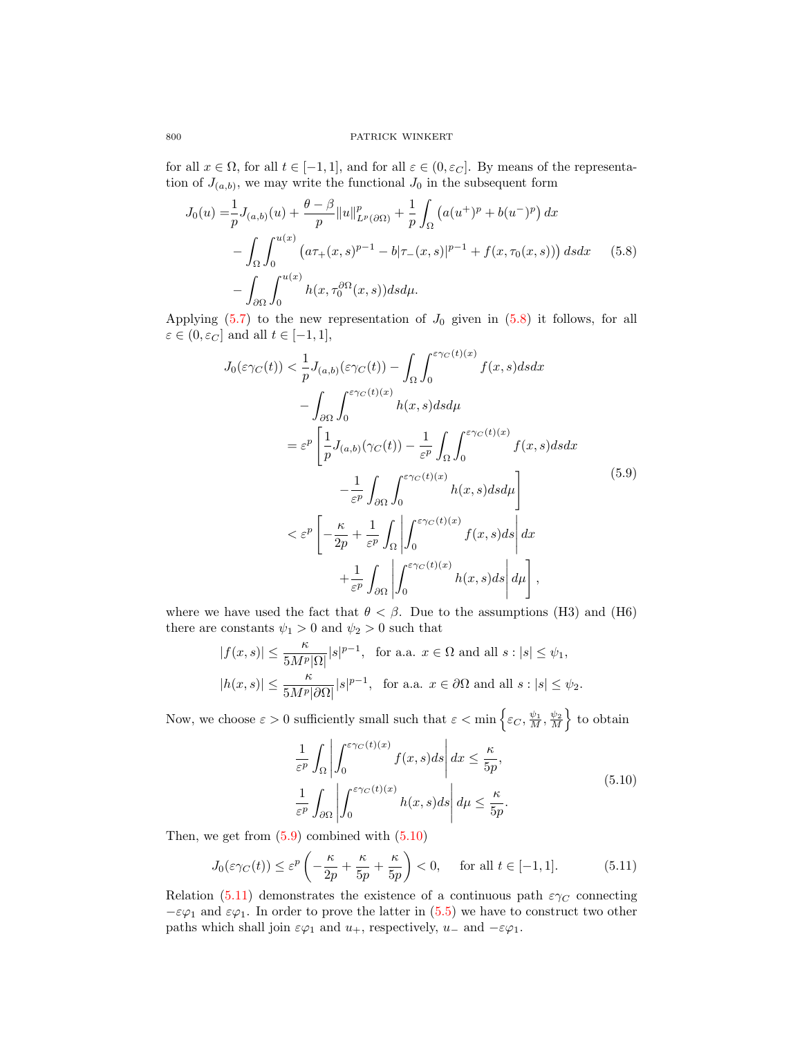for all  $x \in \Omega$ , for all  $t \in [-1,1]$ , and for all  $\varepsilon \in (0,\varepsilon_{C}]$ . By means of the representation of  $J_{(a,b)}$ , we may write the functional  $J_0$  in the subsequent form

$$
J_0(u) = \frac{1}{p} J_{(a,b)}(u) + \frac{\theta - \beta}{p} ||u||_{L^p(\partial \Omega)}^p + \frac{1}{p} \int_{\Omega} (a(u^+)^p + b(u^-)^p) dx
$$
  

$$
- \int_{\Omega} \int_0^{u(x)} (a\tau_+(x,s)^{p-1} - b|\tau_-(x,s)|^{p-1} + f(x,\tau_0(x,s))) ds dx \qquad (5.8)
$$
  

$$
- \int_{\partial \Omega} \int_0^{u(x)} h(x,\tau_0^{\partial \Omega}(x,s)) ds d\mu.
$$

Applying  $(5.7)$  to the new representation of  $J_0$  given in  $(5.8)$  it follows, for all  $\varepsilon \in (0, \varepsilon_C]$  and all  $t \in [-1, 1],$ 

<span id="page-15-1"></span><span id="page-15-0"></span>
$$
J_0(\varepsilon \gamma_C(t)) < \frac{1}{p} J_{(a,b)}(\varepsilon \gamma_C(t)) - \int_{\Omega} \int_0^{\varepsilon \gamma_C(t)(x)} f(x, s) ds dx
$$
  

$$
- \int_{\partial \Omega} \int_0^{\varepsilon \gamma_C(t)(x)} h(x, s) ds d\mu
$$
  

$$
= \varepsilon^p \left[ \frac{1}{p} J_{(a,b)}(\gamma_C(t)) - \frac{1}{\varepsilon^p} \int_{\Omega} \int_0^{\varepsilon \gamma_C(t)(x)} f(x, s) ds dx - \frac{1}{\varepsilon^p} \int_{\partial \Omega} \int_0^{\varepsilon \gamma_C(t)(x)} h(x, s) ds d\mu \right]
$$
  

$$
< \varepsilon^p \left[ -\frac{\kappa}{2p} + \frac{1}{\varepsilon^p} \int_{\Omega} \left| \int_0^{\varepsilon \gamma_C(t)(x)} f(x, s) ds \right| dx + \frac{1}{\varepsilon^p} \int_{\partial \Omega} \left| \int_0^{\varepsilon \gamma_C(t)(x)} h(x, s) ds \right| d\mu \right],
$$
 (5.9)

where we have used the fact that  $\theta < \beta$ . Due to the assumptions (H3) and (H6) there are constants  $\psi_1 > 0$  and  $\psi_2 > 0$  such that

$$
\begin{aligned} |f(x,s)|&\leq\frac{\kappa}{5M^p|\Omega|}|s|^{p-1},\ \ \text{for a.a.}\ x\in\Omega\ \text{and all}\ s:|s|\leq\psi_1,\\ |h(x,s)|&\leq\frac{\kappa}{5M^p|\partial\Omega|}|s|^{p-1},\ \ \text{for a.a.}\ x\in\partial\Omega\ \text{and all}\ s:|s|\leq\psi_2. \end{aligned}
$$

Now, we choose  $\varepsilon > 0$  sufficiently small such that  $\varepsilon < \min \left\{ \varepsilon_C, \frac{\psi_1}{M}, \frac{\psi_2}{M} \right\}$  to obtain

<span id="page-15-3"></span><span id="page-15-2"></span>
$$
\frac{1}{\varepsilon^p} \int_{\Omega} \left| \int_0^{\varepsilon \gamma_C(t)(x)} f(x, s) ds \right| dx \le \frac{\kappa}{5p},
$$
\n
$$
\frac{1}{\varepsilon^p} \int_{\partial \Omega} \left| \int_0^{\varepsilon \gamma_C(t)(x)} h(x, s) ds \right| d\mu \le \frac{\kappa}{5p}.
$$
\n(5.10)

Then, we get from  $(5.9)$  combined with  $(5.10)$ 

$$
J_0(\varepsilon \gamma_C(t)) \le \varepsilon^p \left( -\frac{\kappa}{2p} + \frac{\kappa}{5p} + \frac{\kappa}{5p} \right) < 0, \quad \text{for all } t \in [-1, 1]. \tag{5.11}
$$

Relation [\(5.11\)](#page-15-3) demonstrates the existence of a continuous path  $\varepsilon \gamma_C$  connecting  $-\varepsilon\varphi_1$  and  $\varepsilon\varphi_1$ . In order to prove the latter in [\(5.5\)](#page-14-3) we have to construct two other paths which shall join  $\varepsilon\varphi_1$  and  $u_+$ , respectively,  $u_-$  and  $-\varepsilon\varphi_1$ .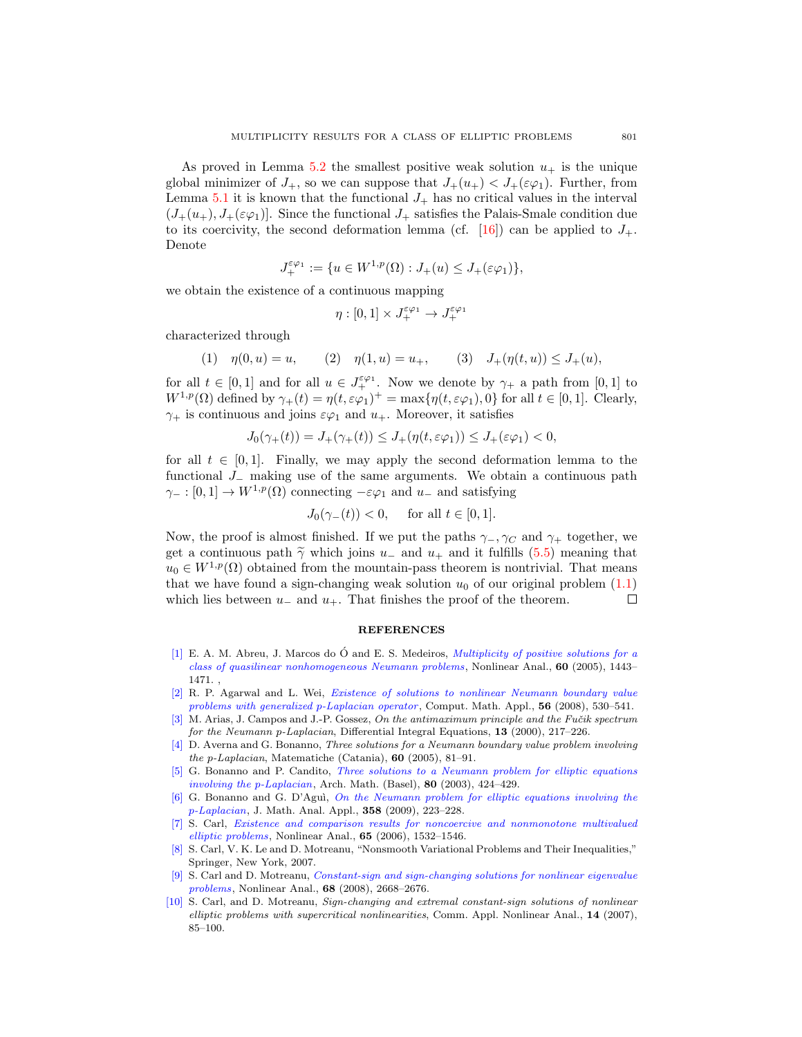As proved in Lemma [5.2](#page-12-2) the smallest positive weak solution  $u_+$  is the unique global minimizer of  $J_+$ , so we can suppose that  $J_+(u_+) < J_+(\varepsilon\varphi_1)$ . Further, from Lemma [5.1](#page-11-0) it is known that the functional  $J_{+}$  has no critical values in the interval  $(J_+(u_+), J_+(\varepsilon\varphi_1)]$ . Since the functional  $J_+$  satisfies the Palais-Smale condition due to its coercivity, the second deformation lemma (cf. [\[16\]](#page-17-24)) can be applied to  $J_{+}$ . Denote

$$
J_+^{\varepsilon\varphi_1}:=\{u\in W^{1,p}(\Omega): J_+(u)\leq J_+(\varepsilon\varphi_1)\},
$$

we obtain the existence of a continuous mapping

$$
\eta:[0,1]\times J_+^{\varepsilon\varphi_1}\to J_+^{\varepsilon\varphi_1}
$$

characterized through

(1)  $\eta(0, u) = u$ , (2)  $\eta(1, u) = u_+$ , (3)  $J_+(\eta(t, u)) \leq J_+(u)$ ,

for all  $t \in [0,1]$  and for all  $u \in J_+^{\varepsilon,\varphi_1}$ . Now we denote by  $\gamma_+$  a path from  $[0,1]$  to  $W^{1,p}(\Omega)$  defined by  $\gamma_+(t) = \eta(t, \varepsilon \varphi_1)^+ = \max{\{\eta(t, \varepsilon \varphi_1), 0\}}$  for all  $t \in [0, 1]$ . Clearly,  $\gamma_+$  is continuous and joins  $\varepsilon\varphi_1$  and  $u_+$ . Moreover, it satisfies

$$
J_0(\gamma_+(t)) = J_+(\gamma_+(t)) \le J_+(\eta(t, \varepsilon \varphi_1)) \le J_+(\varepsilon \varphi_1) < 0,
$$

for all  $t \in [0,1]$ . Finally, we may apply the second deformation lemma to the functional J<sup>−</sup> making use of the same arguments. We obtain a continuous path  $\gamma_ - : [0, 1] \to W^{1, p}(\Omega)$  connecting  $-\varepsilon \varphi_1$  and  $u_-$  and satisfying

$$
J_0(\gamma_-(t)) < 0, \quad \text{ for all } t \in [0,1].
$$

Now, the proof is almost finished. If we put the paths  $\gamma_-, \gamma_C$  and  $\gamma_+$  together, we get a continuous path  $\tilde{\gamma}$  which joins u\_ and u<sub>+</sub> and it fulfills [\(5.5\)](#page-14-3) meaning that  $u_0 \in W^{1,p}(\Omega)$  obtained from the mountain-pass theorem is nontrivial. That means that we have found a sign-changing weak solution  $u_0$  of our original problem  $(1.1)$ which lies between  $u_-\$  and  $u_+$ . That finishes the proof of the theorem.  $\Box$ 

## REFERENCES

- <span id="page-16-0"></span> $[1]$  E. A. M. Abreu, J. Marcos do  $\acute{O}$  and E. S. Medeiros, *[Multiplicity of positive solutions for a](http://dx.doi.org/10.1016/j.na.2004.09.058)* [class of quasilinear nonhomogeneous Neumann problems](http://dx.doi.org/10.1016/j.na.2004.09.058), Nonlinear Anal., 60 (2005), 1443– 1471. ,
- <span id="page-16-1"></span>[\[2\]](http://www.ams.org/mathscinet-getitem?mr=MR2442671&return=pdf) R. P. Agarwal and L. Wei, [Existence of solutions to nonlinear Neumann boundary value](http://dx.doi.org/10.1016/j.camwa.2008.01.013) [problems with generalized](http://dx.doi.org/10.1016/j.camwa.2008.01.013) p-Laplacian operator , Comput. Math. Appl., 56 (2008), 530–541.
- <span id="page-16-8"></span>[\[3\]](http://www.ams.org/mathscinet-getitem?mr=MR1811956&return=pdf) M. Arias, J. Campos and J.-P. Gossez, On the antimaximum principle and the Fučik spectrum for the Neumann p-Laplacian, Differential Integral Equations, 13 (2000), 217-226.
- <span id="page-16-2"></span>[\[4\]](http://www.ams.org/mathscinet-getitem?mr=MR2260255&return=pdf) D. Averna and G. Bonanno, Three solutions for a Neumann boundary value problem involving the p-Laplacian, Matematiche (Catania), 60 (2005), 81–91.
- <span id="page-16-3"></span>[\[5\]](http://www.ams.org/mathscinet-getitem?mr=MR1982841&return=pdf) G. Bonanno and P. Candito, [Three solutions to a Neumann problem for elliptic equations](http://dx.doi.org/10.1007/s00013-003-0479-8) [involving the](http://dx.doi.org/10.1007/s00013-003-0479-8) p-Laplacian, Arch. Math. (Basel), 80 (2003), 424–429.
- <span id="page-16-4"></span>[\[6\]](http://www.ams.org/mathscinet-getitem?mr=MR2532500&return=pdf) G. Bonanno and G. D'Agu`ı, [On the Neumann problem for elliptic equations involving the](http://dx.doi.org/10.1016/j.jmaa.2009.04.055) p[-Laplacian](http://dx.doi.org/10.1016/j.jmaa.2009.04.055), J. Math. Anal. Appl., 358 (2009), 223–228.
- <span id="page-16-7"></span>[\[7\]](http://www.ams.org/mathscinet-getitem?mr=MR2246353&return=pdf) S. Carl, [Existence and comparison results for noncoercive and nonmonotone multivalued](http://dx.doi.org/10.1016/j.na.2005.10.028) [elliptic problems](http://dx.doi.org/10.1016/j.na.2005.10.028), Nonlinear Anal., 65 (2006), 1532–1546.
- <span id="page-16-9"></span>[\[8\]](http://www.ams.org/mathscinet-getitem?mr=MR2267795&return=pdf) S. Carl, V. K. Le and D. Motreanu, "Nonsmooth Variational Problems and Their Inequalities," Springer, New York, 2007.
- <span id="page-16-5"></span>[\[9\]](http://www.ams.org/mathscinet-getitem?mr=MR2397751&return=pdf) S. Carl and D. Motreanu, [Constant-sign and sign-changing solutions for nonlinear eigenvalue](http://dx.doi.org/10.1016/j.na.2007.02.013) [problems](http://dx.doi.org/10.1016/j.na.2007.02.013), Nonlinear Anal., 68 (2008), 2668–2676.
- <span id="page-16-6"></span>[\[10\]](http://www.ams.org/mathscinet-getitem?mr=MR2364697&return=pdf) S. Carl, and D. Motreanu, Sign-changing and extremal constant-sign solutions of nonlinear elliptic problems with supercritical nonlinearities, Comm. Appl. Nonlinear Anal., 14 (2007), 85–100.